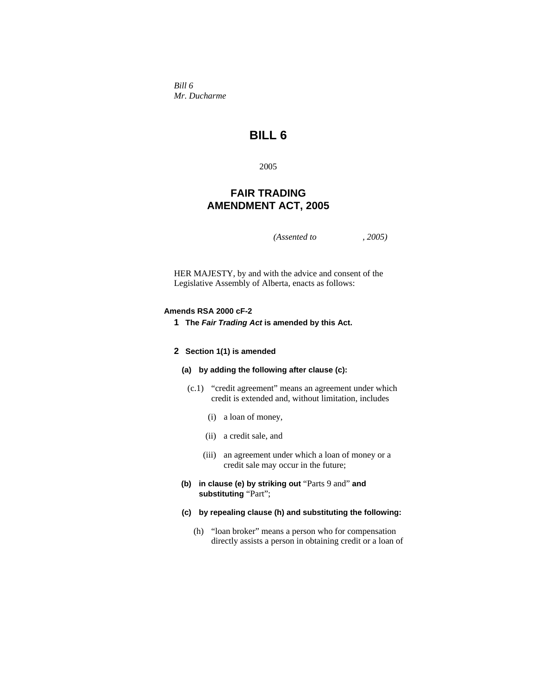*Bill 6 Mr. Ducharme* 

# **BILL 6**

2005

# **FAIR TRADING AMENDMENT ACT, 2005**

*(Assented to , 2005)* 

HER MAJESTY, by and with the advice and consent of the Legislative Assembly of Alberta, enacts as follows:

### **Amends RSA 2000 cF-2**

**1 The** *Fair Trading Act* **is amended by this Act.**

#### **2 Section 1(1) is amended**

- **(a) by adding the following after clause (c):**
- (c.1) "credit agreement" means an agreement under which credit is extended and, without limitation, includes
	- (i) a loan of money,
	- (ii) a credit sale, and
	- (iii) an agreement under which a loan of money or a credit sale may occur in the future;
- **(b) in clause (e) by striking out** "Parts 9 and" **and substituting** "Part";
- **(c) by repealing clause (h) and substituting the following:** 
	- (h) "loan broker" means a person who for compensation directly assists a person in obtaining credit or a loan of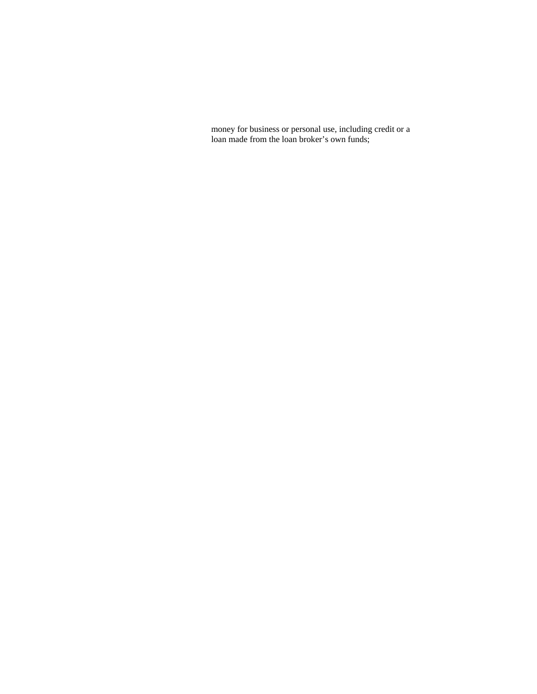money for business or personal use, including credit or a loan made from the loan broker's own funds;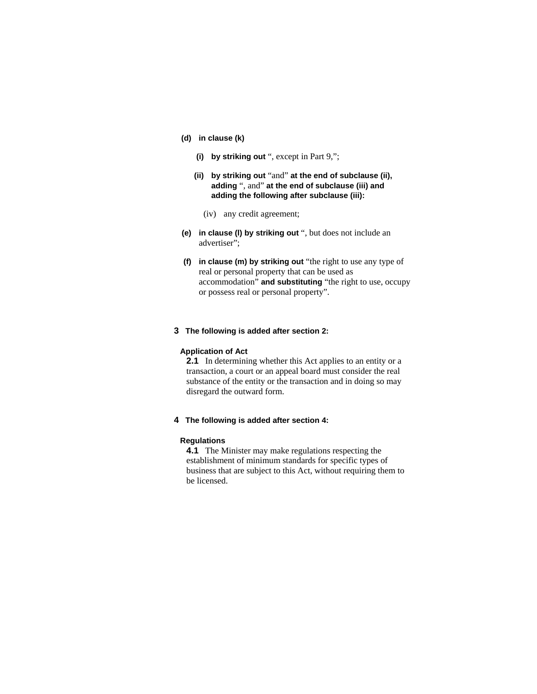### **(d) in clause (k)**

- **(i) by striking out** ", except in Part 9,";
- **(ii) by striking out** "and" **at the end of subclause (ii), adding** ", and" **at the end of subclause (iii) and adding the following after subclause (iii):** 
	- (iv) any credit agreement;
- **(e) in clause (l) by striking out** ", but does not include an advertiser";
- **(f) in clause (m) by striking out** "the right to use any type of real or personal property that can be used as accommodation" **and substituting** "the right to use, occupy or possess real or personal property".
- **3 The following is added after section 2:**

# **Application of Act**

**2.1** In determining whether this Act applies to an entity or a transaction, a court or an appeal board must consider the real substance of the entity or the transaction and in doing so may disregard the outward form.

**4 The following is added after section 4:**

#### **Regulations**

**4.1** The Minister may make regulations respecting the establishment of minimum standards for specific types of business that are subject to this Act, without requiring them to be licensed.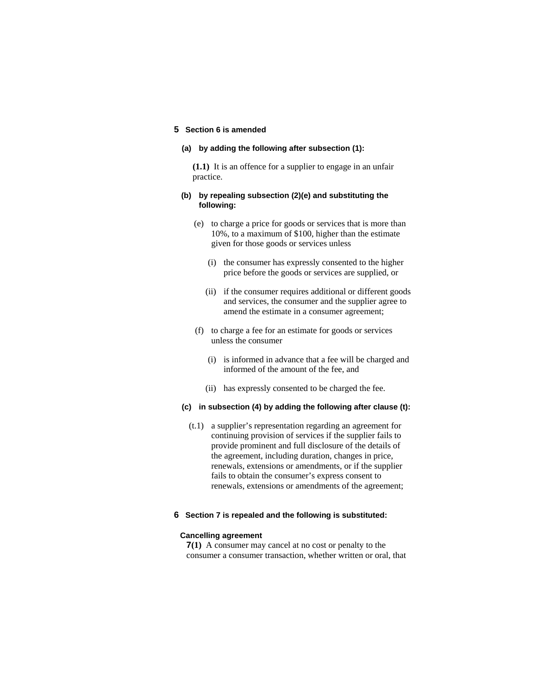### **5 Section 6 is amended**

#### **(a) by adding the following after subsection (1):**

**(1.1)** It is an offence for a supplier to engage in an unfair practice.

#### **(b) by repealing subsection (2)(e) and substituting the following:**

- (e) to charge a price for goods or services that is more than 10%, to a maximum of \$100, higher than the estimate given for those goods or services unless
	- (i) the consumer has expressly consented to the higher price before the goods or services are supplied, or
	- (ii) if the consumer requires additional or different goods and services, the consumer and the supplier agree to amend the estimate in a consumer agreement;
- (f) to charge a fee for an estimate for goods or services unless the consumer
	- (i) is informed in advance that a fee will be charged and informed of the amount of the fee, and
	- (ii) has expressly consented to be charged the fee.

### **(c) in subsection (4) by adding the following after clause (t):**

 (t.1) a supplier's representation regarding an agreement for continuing provision of services if the supplier fails to provide prominent and full disclosure of the details of the agreement, including duration, changes in price, renewals, extensions or amendments, or if the supplier fails to obtain the consumer's express consent to renewals, extensions or amendments of the agreement;

### **6 Section 7 is repealed and the following is substituted:**

#### **Cancelling agreement**

**7(1)** A consumer may cancel at no cost or penalty to the consumer a consumer transaction, whether written or oral, that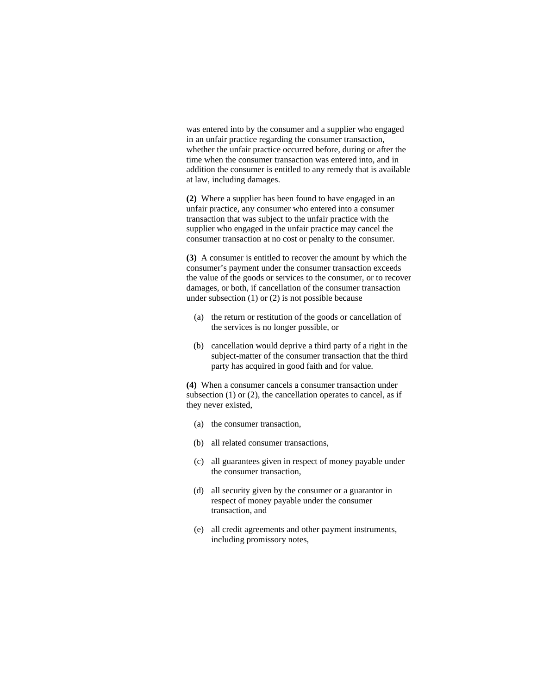was entered into by the consumer and a supplier who engaged in an unfair practice regarding the consumer transaction, whether the unfair practice occurred before, during or after the time when the consumer transaction was entered into, and in addition the consumer is entitled to any remedy that is available at law, including damages.

**(2)** Where a supplier has been found to have engaged in an unfair practice, any consumer who entered into a consumer transaction that was subject to the unfair practice with the supplier who engaged in the unfair practice may cancel the consumer transaction at no cost or penalty to the consumer.

**(3)** A consumer is entitled to recover the amount by which the consumer's payment under the consumer transaction exceeds the value of the goods or services to the consumer, or to recover damages, or both, if cancellation of the consumer transaction under subsection (1) or (2) is not possible because

- (a) the return or restitution of the goods or cancellation of the services is no longer possible, or
- (b) cancellation would deprive a third party of a right in the subject-matter of the consumer transaction that the third party has acquired in good faith and for value.

**(4)** When a consumer cancels a consumer transaction under subsection (1) or (2), the cancellation operates to cancel, as if they never existed,

- (a) the consumer transaction,
- (b) all related consumer transactions,
- (c) all guarantees given in respect of money payable under the consumer transaction,
- (d) all security given by the consumer or a guarantor in respect of money payable under the consumer transaction, and
- (e) all credit agreements and other payment instruments, including promissory notes,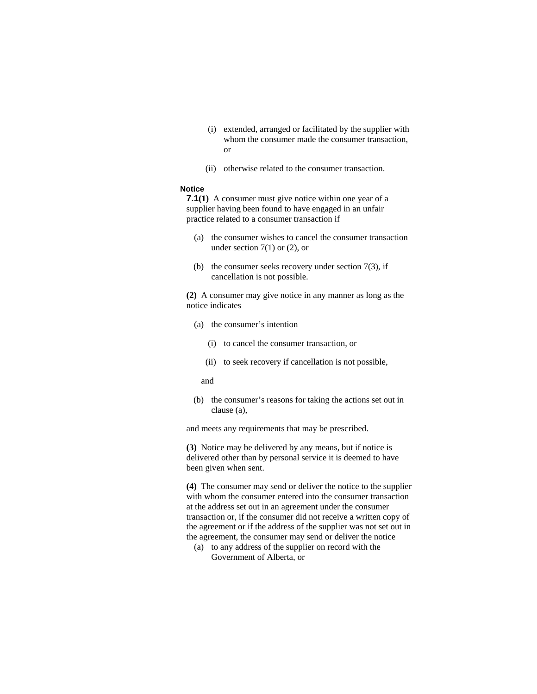- (i) extended, arranged or facilitated by the supplier with whom the consumer made the consumer transaction, or
- (ii) otherwise related to the consumer transaction.

### **Notice**

**7.1(1)** A consumer must give notice within one year of a supplier having been found to have engaged in an unfair practice related to a consumer transaction if

- (a) the consumer wishes to cancel the consumer transaction under section 7(1) or (2), or
- (b) the consumer seeks recovery under section  $7(3)$ , if cancellation is not possible.

**(2)** A consumer may give notice in any manner as long as the notice indicates

- (a) the consumer's intention
	- (i) to cancel the consumer transaction, or
	- (ii) to seek recovery if cancellation is not possible,

and

 (b) the consumer's reasons for taking the actions set out in clause (a),

and meets any requirements that may be prescribed.

**(3)** Notice may be delivered by any means, but if notice is delivered other than by personal service it is deemed to have been given when sent.

**(4)** The consumer may send or deliver the notice to the supplier with whom the consumer entered into the consumer transaction at the address set out in an agreement under the consumer transaction or, if the consumer did not receive a written copy of the agreement or if the address of the supplier was not set out in the agreement, the consumer may send or deliver the notice

 (a) to any address of the supplier on record with the Government of Alberta, or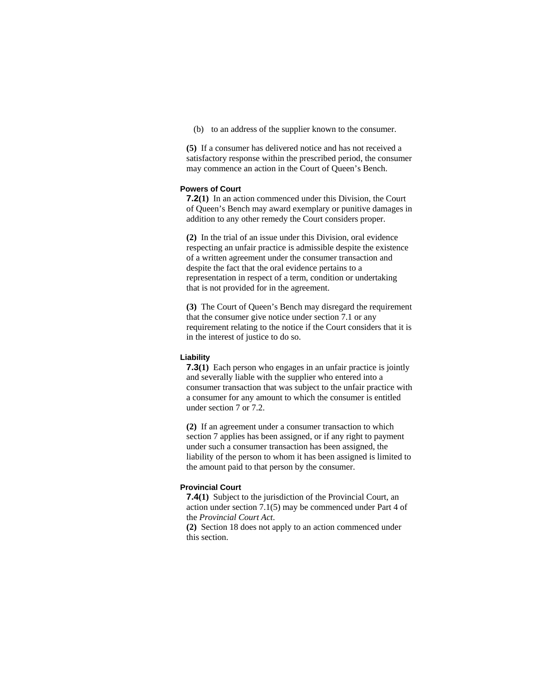(b) to an address of the supplier known to the consumer.

**(5)** If a consumer has delivered notice and has not received a satisfactory response within the prescribed period, the consumer may commence an action in the Court of Queen's Bench.

# **Powers of Court**

**7.2(1)** In an action commenced under this Division, the Court of Queen's Bench may award exemplary or punitive damages in addition to any other remedy the Court considers proper.

**(2)** In the trial of an issue under this Division, oral evidence respecting an unfair practice is admissible despite the existence of a written agreement under the consumer transaction and despite the fact that the oral evidence pertains to a representation in respect of a term, condition or undertaking that is not provided for in the agreement.

**(3)** The Court of Queen's Bench may disregard the requirement that the consumer give notice under section 7.1 or any requirement relating to the notice if the Court considers that it is in the interest of justice to do so.

### **Liability**

**7.3(1)** Each person who engages in an unfair practice is jointly and severally liable with the supplier who entered into a consumer transaction that was subject to the unfair practice with a consumer for any amount to which the consumer is entitled under section 7 or 7.2.

**(2)** If an agreement under a consumer transaction to which section 7 applies has been assigned, or if any right to payment under such a consumer transaction has been assigned, the liability of the person to whom it has been assigned is limited to the amount paid to that person by the consumer.

#### **Provincial Court**

**7.4(1)** Subject to the jurisdiction of the Provincial Court, an action under section 7.1(5) may be commenced under Part 4 of the *Provincial Court Act*.

**(2)** Section 18 does not apply to an action commenced under this section.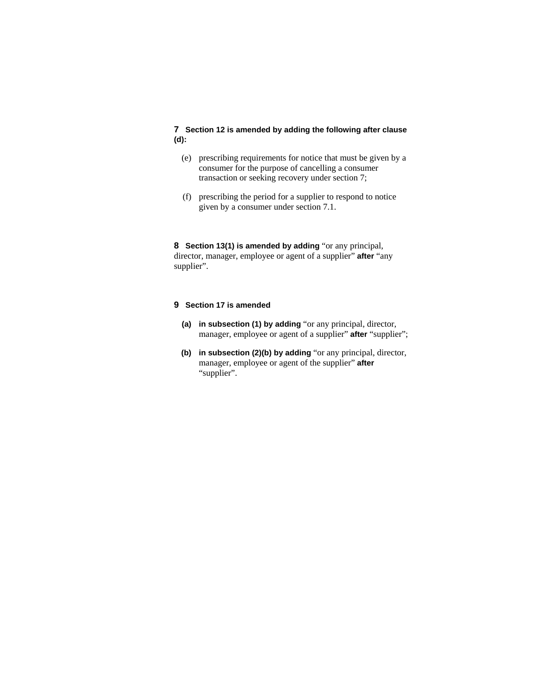# **7 Section 12 is amended by adding the following after clause (d):**

- (e) prescribing requirements for notice that must be given by a consumer for the purpose of cancelling a consumer transaction or seeking recovery under section 7;
- (f) prescribing the period for a supplier to respond to notice given by a consumer under section 7.1.

**8 Section 13(1) is amended by adding** "or any principal, director, manager, employee or agent of a supplier" **after** "any supplier".

# **9 Section 17 is amended**

- **(a) in subsection (1) by adding** "or any principal, director, manager, employee or agent of a supplier" **after** "supplier";
- **(b) in subsection (2)(b) by adding** "or any principal, director, manager, employee or agent of the supplier" **after**  "supplier".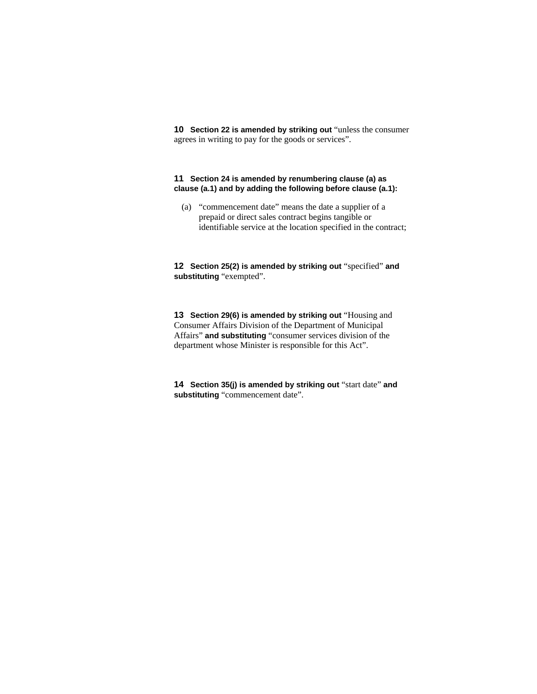**10 Section 22 is amended by striking out "unless the consumer** agrees in writing to pay for the goods or services".

### **11 Section 24 is amended by renumbering clause (a) as clause (a.1) and by adding the following before clause (a.1):**

 (a) "commencement date" means the date a supplier of a prepaid or direct sales contract begins tangible or identifiable service at the location specified in the contract;

**12 Section 25(2) is amended by striking out** "specified" **and substituting** "exempted".

**13 Section 29(6) is amended by striking out** "Housing and Consumer Affairs Division of the Department of Municipal Affairs" **and substituting** "consumer services division of the department whose Minister is responsible for this Act".

**14 Section 35(j) is amended by striking out** "start date" **and substituting** "commencement date".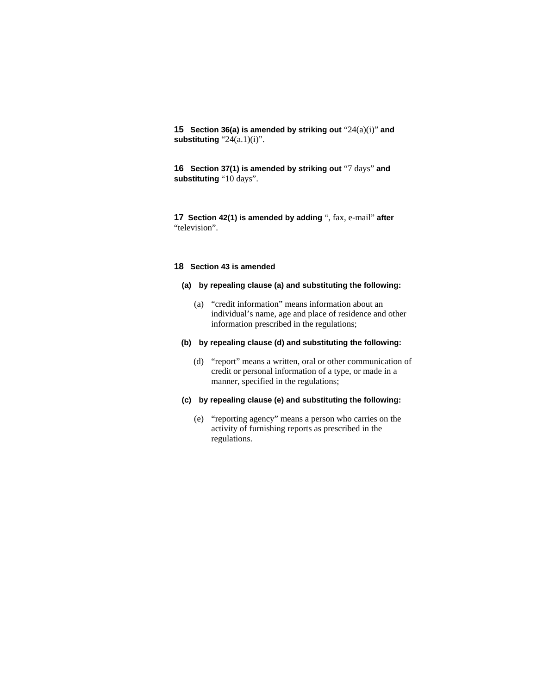**15 Section 36(a) is amended by striking out** "24(a)(i)" **and substituting** "24(a.1)(i)".

**16 Section 37(1) is amended by striking out** "7 days" **and substituting** "10 days".

**17 Section 42(1) is amended by adding** ", fax, e-mail" **after**  "television".

#### **18 Section 43 is amended**

# **(a) by repealing clause (a) and substituting the following:**

 (a) "credit information" means information about an individual's name, age and place of residence and other information prescribed in the regulations;

### **(b) by repealing clause (d) and substituting the following:**

 (d) "report" means a written, oral or other communication of credit or personal information of a type, or made in a manner, specified in the regulations;

# **(c) by repealing clause (e) and substituting the following:**

 (e) "reporting agency" means a person who carries on the activity of furnishing reports as prescribed in the regulations.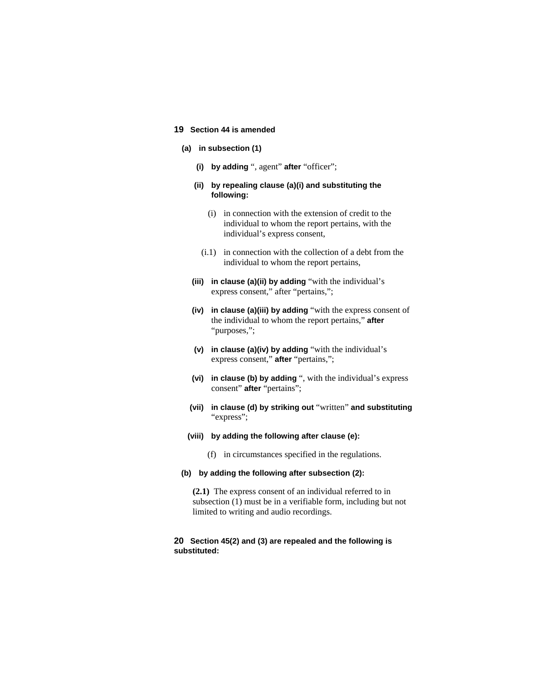### **19 Section 44 is amended**

#### **(a) in subsection (1)**

- **(i) by adding** ", agent" **after** "officer";
- **(ii) by repealing clause (a)(i) and substituting the following:**
	- (i) in connection with the extension of credit to the individual to whom the report pertains, with the individual's express consent,
	- (i.1) in connection with the collection of a debt from the individual to whom the report pertains,
- **(iii) in clause (a)(ii) by adding** "with the individual's express consent," after "pertains,";
- **(iv) in clause (a)(iii) by adding** "with the express consent of the individual to whom the report pertains," **after**  "purposes,";
- **(v) in clause (a)(iv) by adding** "with the individual's express consent," **after** "pertains,";
- **(vi) in clause (b) by adding** ", with the individual's express consent" **after** "pertains";
- **(vii) in clause (d) by striking out** "written" **and substituting**  "express";
- **(viii) by adding the following after clause (e):**
	- (f) in circumstances specified in the regulations.

### **(b) by adding the following after subsection (2):**

**(2.1)** The express consent of an individual referred to in subsection (1) must be in a verifiable form, including but not limited to writing and audio recordings.

### **20 Section 45(2) and (3) are repealed and the following is substituted:**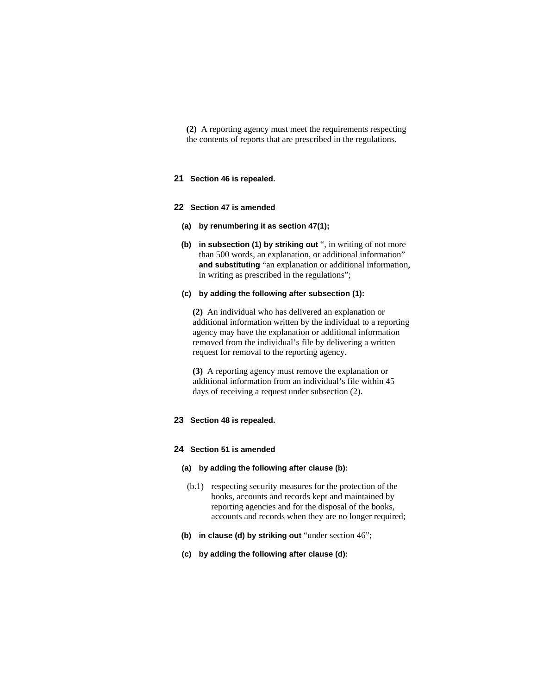**(2)** A reporting agency must meet the requirements respecting the contents of reports that are prescribed in the regulations.

# **21 Section 46 is repealed.**

#### **22 Section 47 is amended**

- **(a) by renumbering it as section 47(1);**
- **(b) in subsection (1) by striking out** ", in writing of not more than 500 words, an explanation, or additional information" **and substituting** "an explanation or additional information, in writing as prescribed in the regulations";

# **(c) by adding the following after subsection (1):**

**(2)** An individual who has delivered an explanation or additional information written by the individual to a reporting agency may have the explanation or additional information removed from the individual's file by delivering a written request for removal to the reporting agency.

**(3)** A reporting agency must remove the explanation or additional information from an individual's file within 45 days of receiving a request under subsection (2).

# **23 Section 48 is repealed.**

#### **24 Section 51 is amended**

# **(a) by adding the following after clause (b):**

- (b.1) respecting security measures for the protection of the books, accounts and records kept and maintained by reporting agencies and for the disposal of the books, accounts and records when they are no longer required;
- **(b) in clause (d) by striking out** "under section 46";
- **(c) by adding the following after clause (d):**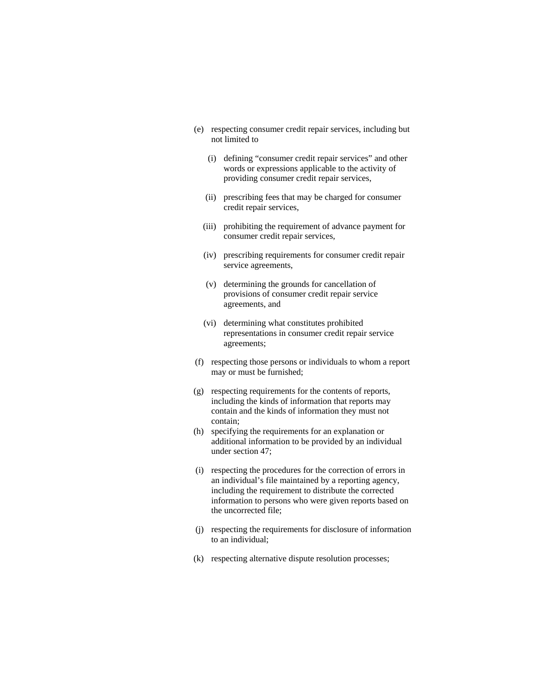- (e) respecting consumer credit repair services, including but not limited to
	- (i) defining "consumer credit repair services" and other words or expressions applicable to the activity of providing consumer credit repair services,
	- (ii) prescribing fees that may be charged for consumer credit repair services,
	- (iii) prohibiting the requirement of advance payment for consumer credit repair services,
	- (iv) prescribing requirements for consumer credit repair service agreements,
	- (v) determining the grounds for cancellation of provisions of consumer credit repair service agreements, and
	- (vi) determining what constitutes prohibited representations in consumer credit repair service agreements;
- (f) respecting those persons or individuals to whom a report may or must be furnished;
- (g) respecting requirements for the contents of reports, including the kinds of information that reports may contain and the kinds of information they must not contain;
- (h) specifying the requirements for an explanation or additional information to be provided by an individual under section 47;
- (i) respecting the procedures for the correction of errors in an individual's file maintained by a reporting agency, including the requirement to distribute the corrected information to persons who were given reports based on the uncorrected file;
- (j) respecting the requirements for disclosure of information to an individual;
- (k) respecting alternative dispute resolution processes;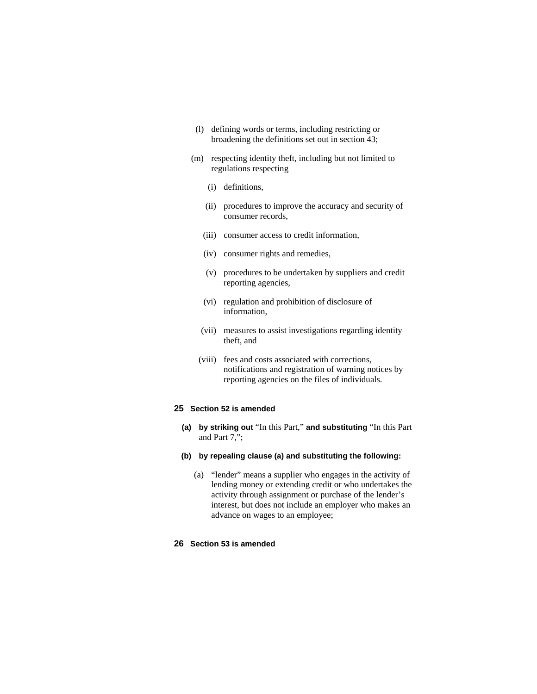- (l) defining words or terms, including restricting or broadening the definitions set out in section 43;
- (m) respecting identity theft, including but not limited to regulations respecting
	- (i) definitions,
	- (ii) procedures to improve the accuracy and security of consumer records,
	- (iii) consumer access to credit information,
	- (iv) consumer rights and remedies,
	- (v) procedures to be undertaken by suppliers and credit reporting agencies,
	- (vi) regulation and prohibition of disclosure of information,
	- (vii) measures to assist investigations regarding identity theft, and
	- (viii) fees and costs associated with corrections, notifications and registration of warning notices by reporting agencies on the files of individuals.

#### **25 Section 52 is amended**

- **(a) by striking out** "In this Part," **and substituting** "In this Part and Part 7,";
- **(b) by repealing clause (a) and substituting the following:**
	- (a) "lender" means a supplier who engages in the activity of lending money or extending credit or who undertakes the activity through assignment or purchase of the lender's interest, but does not include an employer who makes an advance on wages to an employee;

# **26 Section 53 is amended**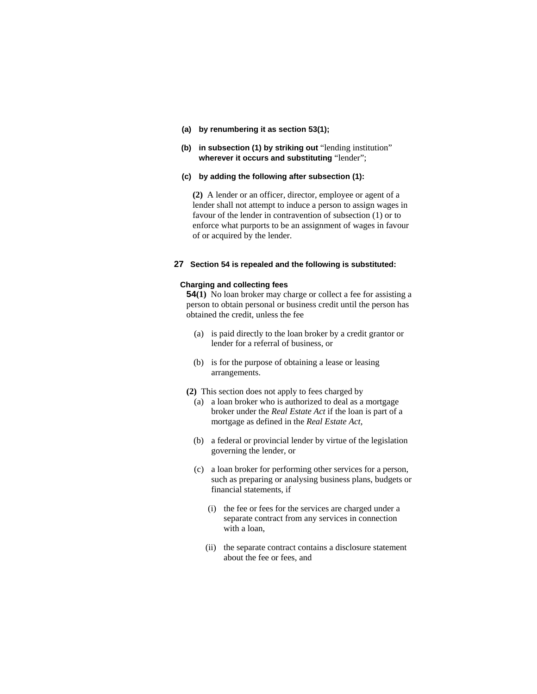- **(a) by renumbering it as section 53(1);**
- **(b) in subsection (1) by striking out** "lending institution" **wherever it occurs and substituting** "lender";

#### **(c) by adding the following after subsection (1):**

**(2)** A lender or an officer, director, employee or agent of a lender shall not attempt to induce a person to assign wages in favour of the lender in contravention of subsection (1) or to enforce what purports to be an assignment of wages in favour of or acquired by the lender.

# **27 Section 54 is repealed and the following is substituted:**

### **Charging and collecting fees**

**54(1)** No loan broker may charge or collect a fee for assisting a person to obtain personal or business credit until the person has obtained the credit, unless the fee

- (a) is paid directly to the loan broker by a credit grantor or lender for a referral of business, or
- (b) is for the purpose of obtaining a lease or leasing arrangements.
- **(2)** This section does not apply to fees charged by
	- (a) a loan broker who is authorized to deal as a mortgage broker under the *Real Estate Act* if the loan is part of a mortgage as defined in the *Real Estate Act*,
	- (b) a federal or provincial lender by virtue of the legislation governing the lender, or
	- (c) a loan broker for performing other services for a person, such as preparing or analysing business plans, budgets or financial statements, if
		- (i) the fee or fees for the services are charged under a separate contract from any services in connection with a loan,
		- (ii) the separate contract contains a disclosure statement about the fee or fees, and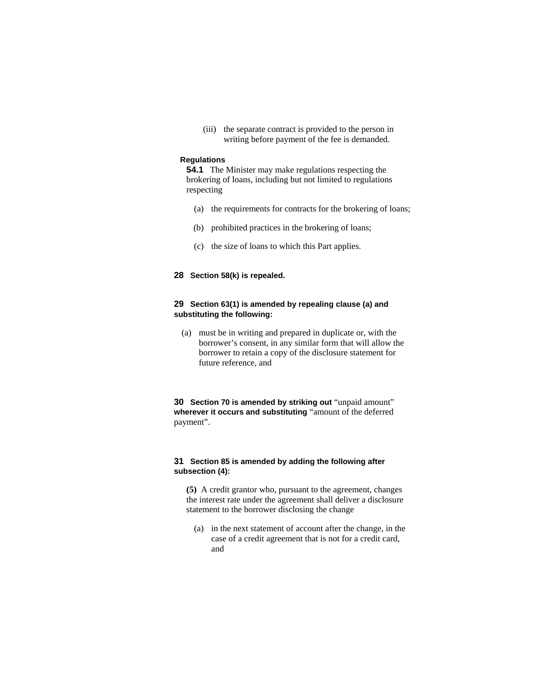(iii) the separate contract is provided to the person in writing before payment of the fee is demanded.

### **Regulations**

**54.1** The Minister may make regulations respecting the brokering of loans, including but not limited to regulations respecting

- (a) the requirements for contracts for the brokering of loans;
- (b) prohibited practices in the brokering of loans;
- (c) the size of loans to which this Part applies.

# **28 Section 58(k) is repealed.**

# **29 Section 63(1) is amended by repealing clause (a) and substituting the following:**

 (a) must be in writing and prepared in duplicate or, with the borrower's consent, in any similar form that will allow the borrower to retain a copy of the disclosure statement for future reference, and

**30 Section 70 is amended by striking out** "unpaid amount" **wherever it occurs and substituting** "amount of the deferred payment".

### **31 Section 85 is amended by adding the following after subsection (4):**

**(5)** A credit grantor who, pursuant to the agreement, changes the interest rate under the agreement shall deliver a disclosure statement to the borrower disclosing the change

 (a) in the next statement of account after the change, in the case of a credit agreement that is not for a credit card, and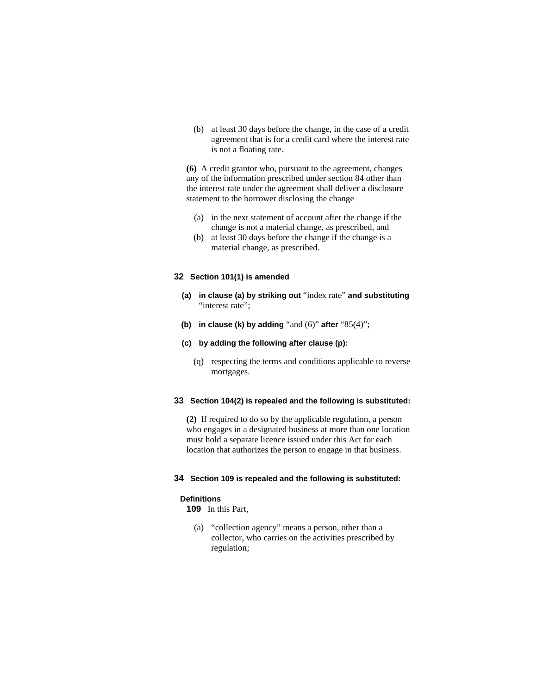(b) at least 30 days before the change, in the case of a credit agreement that is for a credit card where the interest rate is not a floating rate.

**(6)** A credit grantor who, pursuant to the agreement, changes any of the information prescribed under section 84 other than the interest rate under the agreement shall deliver a disclosure statement to the borrower disclosing the change

- (a) in the next statement of account after the change if the change is not a material change, as prescribed, and
- (b) at least 30 days before the change if the change is a material change, as prescribed.

# **32 Section 101(1) is amended**

- **(a) in clause (a) by striking out** "index rate" **and substituting**  "interest rate":
- **(b) in clause (k) by adding** "and (6)" **after** "85(4)";

# **(c) by adding the following after clause (p):**

 (q) respecting the terms and conditions applicable to reverse mortgages.

# **33 Section 104(2) is repealed and the following is substituted:**

**(2)** If required to do so by the applicable regulation, a person who engages in a designated business at more than one location must hold a separate licence issued under this Act for each location that authorizes the person to engage in that business.

#### **34 Section 109 is repealed and the following is substituted:**

#### **Definitions**

**109** In this Part,

 (a) "collection agency" means a person, other than a collector, who carries on the activities prescribed by regulation;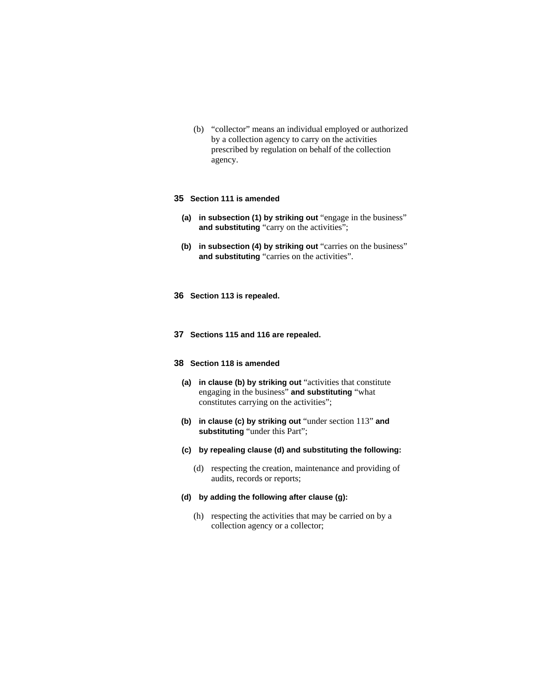(b) "collector" means an individual employed or authorized by a collection agency to carry on the activities prescribed by regulation on behalf of the collection agency.

### **35 Section 111 is amended**

- **(a) in subsection (1) by striking out** "engage in the business" **and substituting** "carry on the activities";
- **(b)** in subsection (4) by striking out "carries on the business" **and substituting** "carries on the activities".
- **36 Section 113 is repealed.**
- **37 Sections 115 and 116 are repealed.**

### **38 Section 118 is amended**

- **(a) in clause (b) by striking out** "activities that constitute engaging in the business" **and substituting** "what constitutes carrying on the activities";
- **(b) in clause (c) by striking out** "under section 113" **and substituting** "under this Part";
- **(c) by repealing clause (d) and substituting the following:**
	- (d) respecting the creation, maintenance and providing of audits, records or reports;

# **(d) by adding the following after clause (g):**

 (h) respecting the activities that may be carried on by a collection agency or a collector;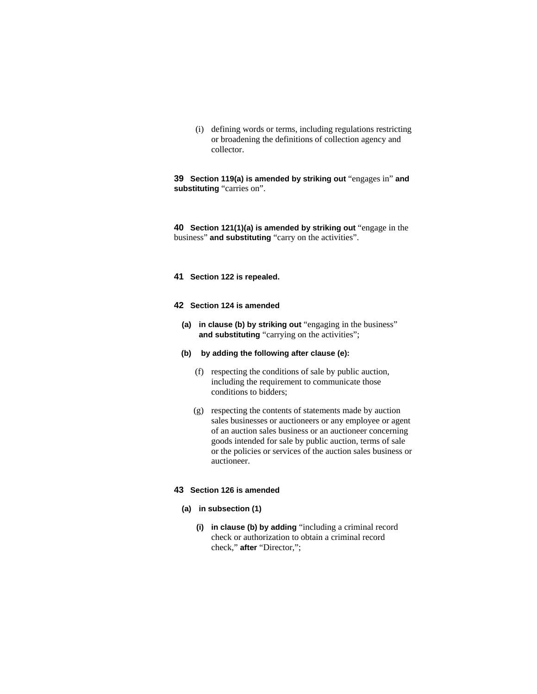(i) defining words or terms, including regulations restricting or broadening the definitions of collection agency and collector.

**39 Section 119(a) is amended by striking out** "engages in" **and substituting** "carries on".

**40 Section 121(1)(a) is amended by striking out** "engage in the business" **and substituting** "carry on the activities".

**41 Section 122 is repealed.**

### **42 Section 124 is amended**

- **(a) in clause (b) by striking out** "engaging in the business" and substituting "carrying on the activities";
- **(b) by adding the following after clause (e):**
	- (f) respecting the conditions of sale by public auction, including the requirement to communicate those conditions to bidders;
	- (g) respecting the contents of statements made by auction sales businesses or auctioneers or any employee or agent of an auction sales business or an auctioneer concerning goods intended for sale by public auction, terms of sale or the policies or services of the auction sales business or auctioneer.

#### **43 Section 126 is amended**

- **(a) in subsection (1)**
	- **(i) in clause (b) by adding** "including a criminal record check or authorization to obtain a criminal record check," **after** "Director,";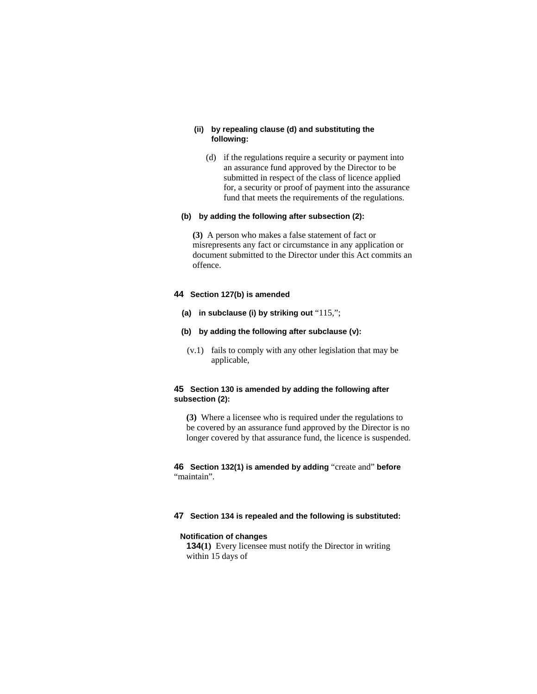# **(ii) by repealing clause (d) and substituting the following:**

 (d) if the regulations require a security or payment into an assurance fund approved by the Director to be submitted in respect of the class of licence applied for, a security or proof of payment into the assurance fund that meets the requirements of the regulations.

# **(b) by adding the following after subsection (2):**

**(3)** A person who makes a false statement of fact or misrepresents any fact or circumstance in any application or document submitted to the Director under this Act commits an offence.

### **44 Section 127(b) is amended**

- **(a) in subclause (i) by striking out** "115,";
- **(b) by adding the following after subclause (v):**
	- (v.1) fails to comply with any other legislation that may be applicable,

# **45 Section 130 is amended by adding the following after subsection (2):**

**(3)** Where a licensee who is required under the regulations to be covered by an assurance fund approved by the Director is no longer covered by that assurance fund, the licence is suspended.

**46 Section 132(1) is amended by adding** "create and" **before**  "maintain".

### **47 Section 134 is repealed and the following is substituted:**

#### **Notification of changes**

**134(1)** Every licensee must notify the Director in writing within 15 days of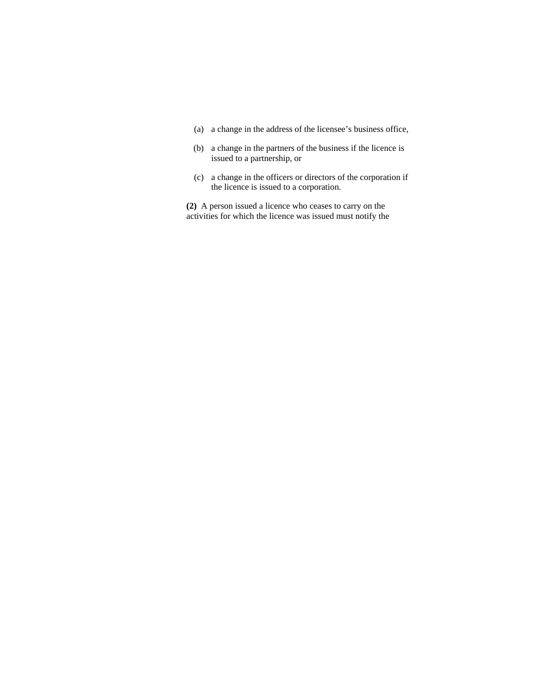- (a) a change in the address of the licensee's business office,
- (b) a change in the partners of the business if the licence is issued to a partnership, or
- (c) a change in the officers or directors of the corporation if the licence is issued to a corporation.

**(2)** A person issued a licence who ceases to carry on the activities for which the licence was issued must notify the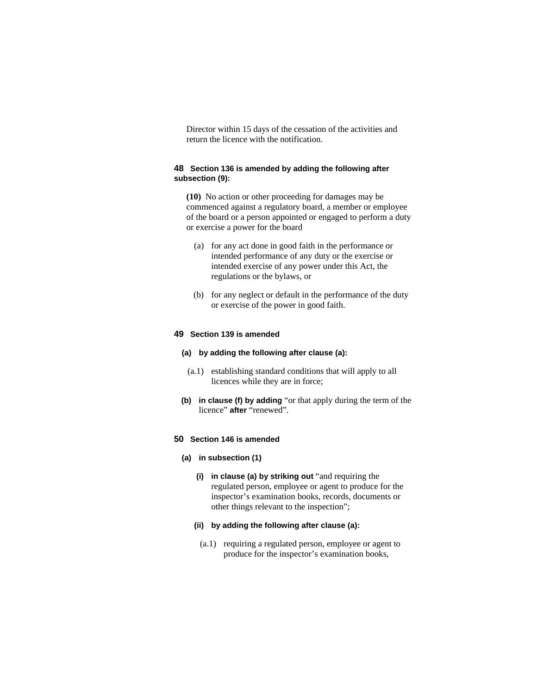Director within 15 days of the cessation of the activities and return the licence with the notification.

# **48 Section 136 is amended by adding the following after subsection (9):**

**(10)** No action or other proceeding for damages may be commenced against a regulatory board, a member or employee of the board or a person appointed or engaged to perform a duty or exercise a power for the board

- (a) for any act done in good faith in the performance or intended performance of any duty or the exercise or intended exercise of any power under this Act, the regulations or the bylaws, or
- (b) for any neglect or default in the performance of the duty or exercise of the power in good faith.

### **49 Section 139 is amended**

- **(a) by adding the following after clause (a):**
	- (a.1) establishing standard conditions that will apply to all licences while they are in force;
- **(b) in clause (f) by adding** "or that apply during the term of the licence" **after** "renewed".

### **50 Section 146 is amended**

#### **(a) in subsection (1)**

- **(i) in clause (a) by striking out** "and requiring the regulated person, employee or agent to produce for the inspector's examination books, records, documents or other things relevant to the inspection";
- **(ii) by adding the following after clause (a):**
- (a.1) requiring a regulated person, employee or agent to produce for the inspector's examination books,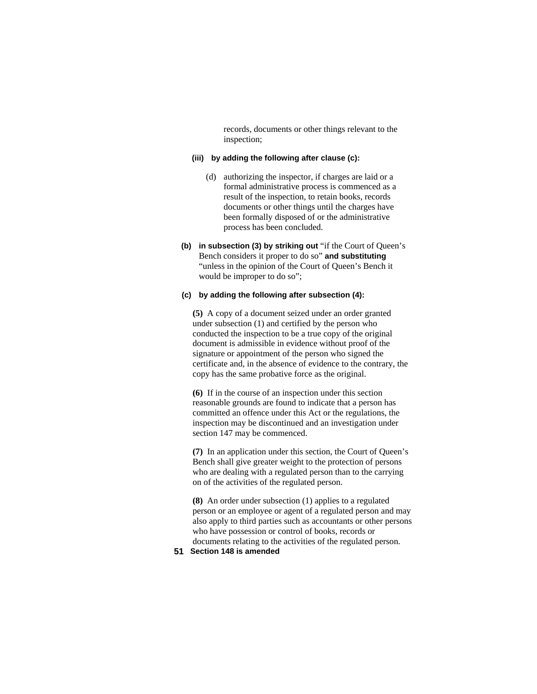records, documents or other things relevant to the inspection;

# **(iii) by adding the following after clause (c):**

- (d) authorizing the inspector, if charges are laid or a formal administrative process is commenced as a result of the inspection, to retain books, records documents or other things until the charges have been formally disposed of or the administrative process has been concluded.
- **(b) in subsection (3) by striking out** "if the Court of Queen's Bench considers it proper to do so" **and substituting**  "unless in the opinion of the Court of Queen's Bench it would be improper to do so";

# **(c) by adding the following after subsection (4):**

**(5)** A copy of a document seized under an order granted under subsection (1) and certified by the person who conducted the inspection to be a true copy of the original document is admissible in evidence without proof of the signature or appointment of the person who signed the certificate and, in the absence of evidence to the contrary, the copy has the same probative force as the original.

**(6)** If in the course of an inspection under this section reasonable grounds are found to indicate that a person has committed an offence under this Act or the regulations, the inspection may be discontinued and an investigation under section 147 may be commenced.

**(7)** In an application under this section, the Court of Queen's Bench shall give greater weight to the protection of persons who are dealing with a regulated person than to the carrying on of the activities of the regulated person.

**(8)** An order under subsection (1) applies to a regulated person or an employee or agent of a regulated person and may also apply to third parties such as accountants or other persons who have possession or control of books, records or documents relating to the activities of the regulated person.

# **51 Section 148 is amended**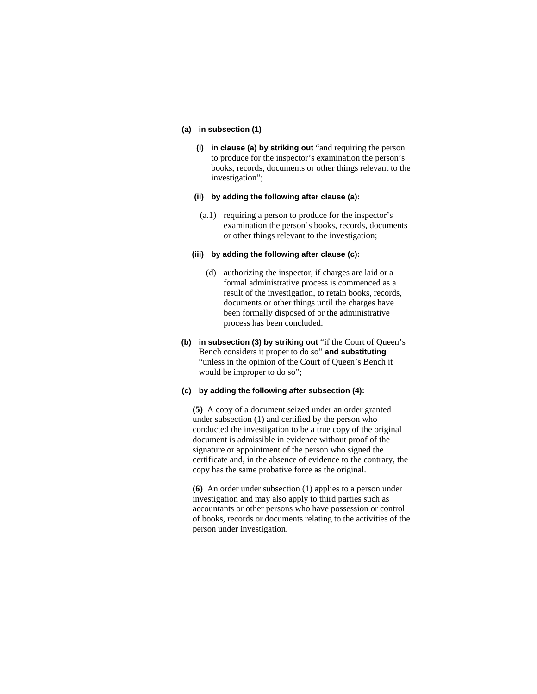#### **(a) in subsection (1)**

- **(i) in clause (a) by striking out** "and requiring the person to produce for the inspector's examination the person's books, records, documents or other things relevant to the investigation";
- **(ii) by adding the following after clause (a):**
- (a.1) requiring a person to produce for the inspector's examination the person's books, records, documents or other things relevant to the investigation;

#### **(iii) by adding the following after clause (c):**

- (d) authorizing the inspector, if charges are laid or a formal administrative process is commenced as a result of the investigation, to retain books, records, documents or other things until the charges have been formally disposed of or the administrative process has been concluded.
- **(b) in subsection (3) by striking out** "if the Court of Queen's Bench considers it proper to do so" **and substituting**  "unless in the opinion of the Court of Queen's Bench it would be improper to do so";

### **(c) by adding the following after subsection (4):**

**(5)** A copy of a document seized under an order granted under subsection (1) and certified by the person who conducted the investigation to be a true copy of the original document is admissible in evidence without proof of the signature or appointment of the person who signed the certificate and, in the absence of evidence to the contrary, the copy has the same probative force as the original.

**(6)** An order under subsection (1) applies to a person under investigation and may also apply to third parties such as accountants or other persons who have possession or control of books, records or documents relating to the activities of the person under investigation.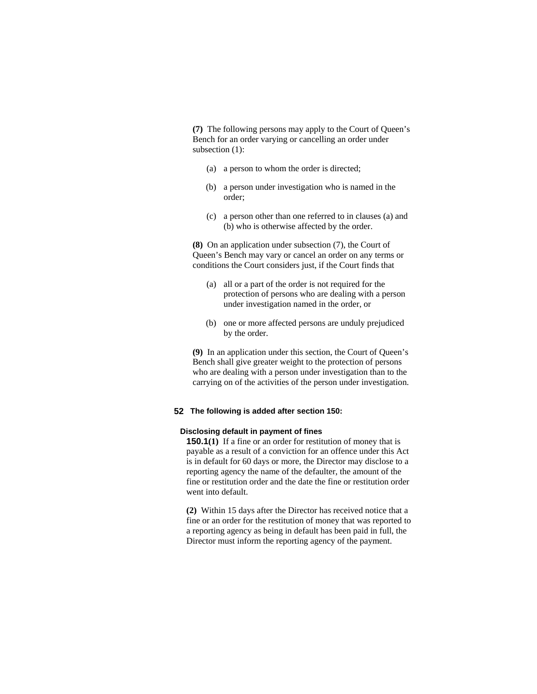**(7)** The following persons may apply to the Court of Queen's Bench for an order varying or cancelling an order under subsection (1):

- (a) a person to whom the order is directed;
- (b) a person under investigation who is named in the order;
- (c) a person other than one referred to in clauses (a) and (b) who is otherwise affected by the order.

**(8)** On an application under subsection (7), the Court of Queen's Bench may vary or cancel an order on any terms or conditions the Court considers just, if the Court finds that

- (a) all or a part of the order is not required for the protection of persons who are dealing with a person under investigation named in the order, or
- (b) one or more affected persons are unduly prejudiced by the order.

**(9)** In an application under this section, the Court of Queen's Bench shall give greater weight to the protection of persons who are dealing with a person under investigation than to the carrying on of the activities of the person under investigation.

#### **52 The following is added after section 150:**

#### **Disclosing default in payment of fines**

**150.1(1)** If a fine or an order for restitution of money that is payable as a result of a conviction for an offence under this Act is in default for 60 days or more, the Director may disclose to a reporting agency the name of the defaulter, the amount of the fine or restitution order and the date the fine or restitution order went into default.

**(2)** Within 15 days after the Director has received notice that a fine or an order for the restitution of money that was reported to a reporting agency as being in default has been paid in full, the Director must inform the reporting agency of the payment.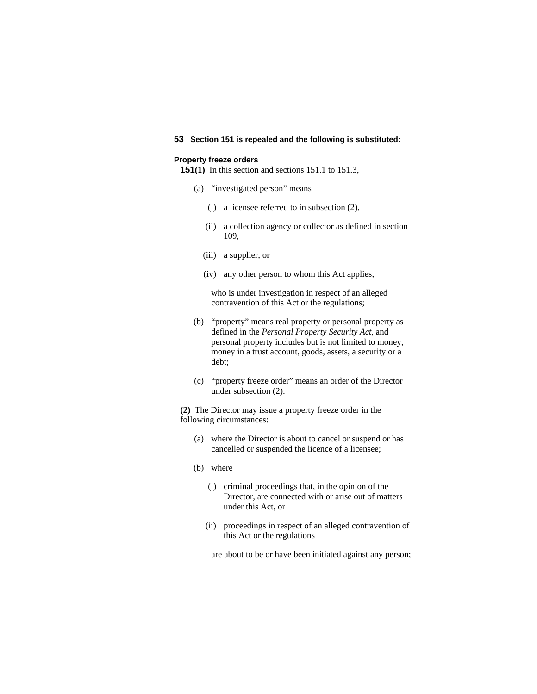# **53 Section 151 is repealed and the following is substituted:**

### **Property freeze orders**

**151(1)** In this section and sections 151.1 to 151.3,

- (a) "investigated person" means
	- (i) a licensee referred to in subsection (2),
	- (ii) a collection agency or collector as defined in section 109,
	- (iii) a supplier, or
	- (iv) any other person to whom this Act applies,

 who is under investigation in respect of an alleged contravention of this Act or the regulations;

- (b) "property" means real property or personal property as defined in the *Personal Property Security Act*, and personal property includes but is not limited to money, money in a trust account, goods, assets, a security or a debt;
- (c) "property freeze order" means an order of the Director under subsection (2).

**(2)** The Director may issue a property freeze order in the following circumstances:

- (a) where the Director is about to cancel or suspend or has cancelled or suspended the licence of a licensee;
- (b) where
	- (i) criminal proceedings that, in the opinion of the Director, are connected with or arise out of matters under this Act, or
	- (ii) proceedings in respect of an alleged contravention of this Act or the regulations

are about to be or have been initiated against any person;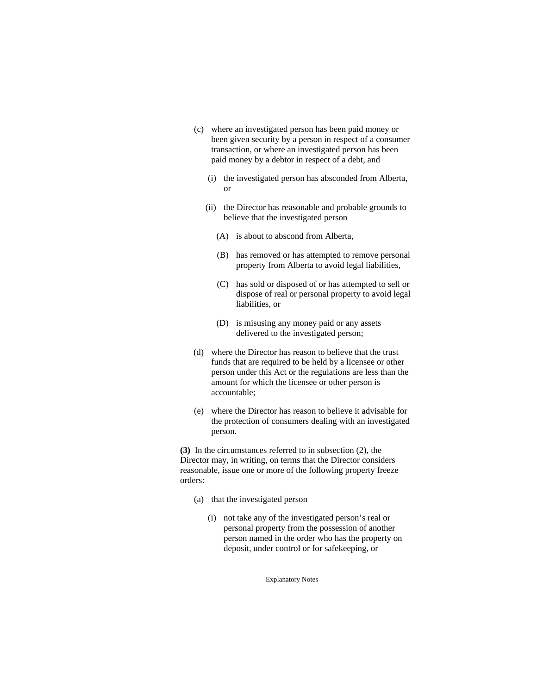- (c) where an investigated person has been paid money or been given security by a person in respect of a consumer transaction, or where an investigated person has been paid money by a debtor in respect of a debt, and
	- (i) the investigated person has absconded from Alberta, or
	- (ii) the Director has reasonable and probable grounds to believe that the investigated person
		- (A) is about to abscond from Alberta,
		- (B) has removed or has attempted to remove personal property from Alberta to avoid legal liabilities,
		- (C) has sold or disposed of or has attempted to sell or dispose of real or personal property to avoid legal liabilities, or
		- (D) is misusing any money paid or any assets delivered to the investigated person;
- (d) where the Director has reason to believe that the trust funds that are required to be held by a licensee or other person under this Act or the regulations are less than the amount for which the licensee or other person is accountable;
- (e) where the Director has reason to believe it advisable for the protection of consumers dealing with an investigated person.

**(3)** In the circumstances referred to in subsection (2), the Director may, in writing, on terms that the Director considers reasonable, issue one or more of the following property freeze orders:

- (a) that the investigated person
	- (i) not take any of the investigated person's real or personal property from the possession of another person named in the order who has the property on deposit, under control or for safekeeping, or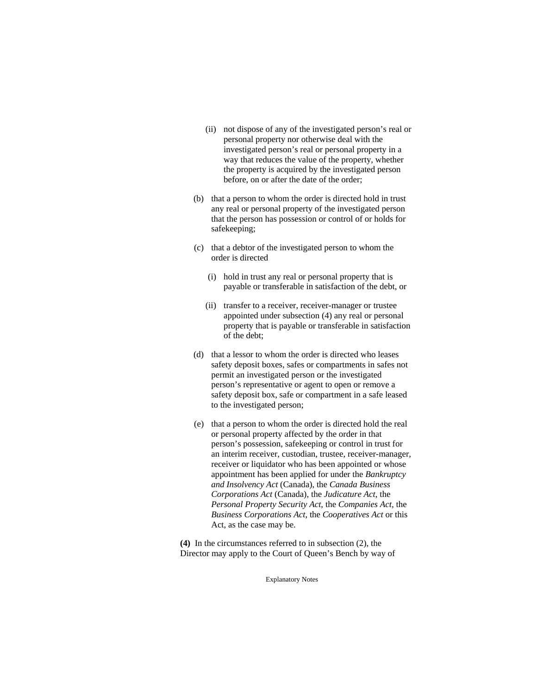- (ii) not dispose of any of the investigated person's real or personal property nor otherwise deal with the investigated person's real or personal property in a way that reduces the value of the property, whether the property is acquired by the investigated person before, on or after the date of the order;
- (b) that a person to whom the order is directed hold in trust any real or personal property of the investigated person that the person has possession or control of or holds for safekeeping;
- (c) that a debtor of the investigated person to whom the order is directed
	- (i) hold in trust any real or personal property that is payable or transferable in satisfaction of the debt, or
	- (ii) transfer to a receiver, receiver-manager or trustee appointed under subsection (4) any real or personal property that is payable or transferable in satisfaction of the debt;
- (d) that a lessor to whom the order is directed who leases safety deposit boxes, safes or compartments in safes not permit an investigated person or the investigated person's representative or agent to open or remove a safety deposit box, safe or compartment in a safe leased to the investigated person;
- (e) that a person to whom the order is directed hold the real or personal property affected by the order in that person's possession, safekeeping or control in trust for an interim receiver, custodian, trustee, receiver-manager, receiver or liquidator who has been appointed or whose appointment has been applied for under the *Bankruptcy and Insolvency Act* (Canada), the *Canada Business Corporations Act* (Canada), the *Judicature Act*, the *Personal Property Security Act*, the *Companies Act*, the *Business Corporations Act*, the *Cooperatives Act* or this Act, as the case may be.

**(4)** In the circumstances referred to in subsection (2), the Director may apply to the Court of Queen's Bench by way of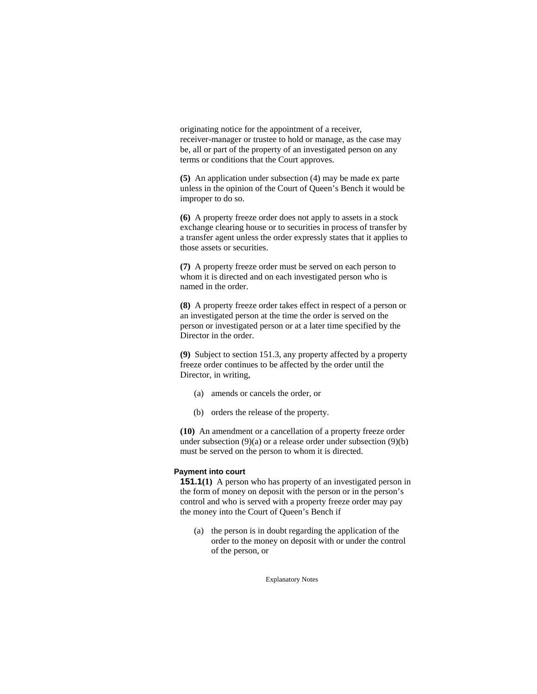originating notice for the appointment of a receiver, receiver-manager or trustee to hold or manage, as the case may be, all or part of the property of an investigated person on any terms or conditions that the Court approves.

**(5)** An application under subsection (4) may be made ex parte unless in the opinion of the Court of Queen's Bench it would be improper to do so.

**(6)** A property freeze order does not apply to assets in a stock exchange clearing house or to securities in process of transfer by a transfer agent unless the order expressly states that it applies to those assets or securities.

**(7)** A property freeze order must be served on each person to whom it is directed and on each investigated person who is named in the order.

**(8)** A property freeze order takes effect in respect of a person or an investigated person at the time the order is served on the person or investigated person or at a later time specified by the Director in the order.

**(9)** Subject to section 151.3, any property affected by a property freeze order continues to be affected by the order until the Director, in writing,

- (a) amends or cancels the order, or
- (b) orders the release of the property.

**(10)** An amendment or a cancellation of a property freeze order under subsection  $(9)(a)$  or a release order under subsection  $(9)(b)$ must be served on the person to whom it is directed.

### **Payment into court**

**151.1(1)** A person who has property of an investigated person in the form of money on deposit with the person or in the person's control and who is served with a property freeze order may pay the money into the Court of Queen's Bench if

 (a) the person is in doubt regarding the application of the order to the money on deposit with or under the control of the person, or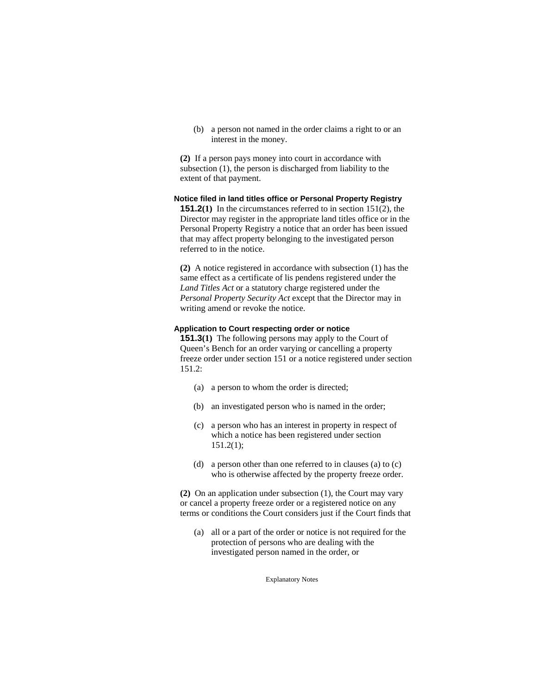(b) a person not named in the order claims a right to or an interest in the money.

**(2)** If a person pays money into court in accordance with subsection (1), the person is discharged from liability to the extent of that payment.

### **Notice filed in land titles office or Personal Property Registry**

**151.2(1)** In the circumstances referred to in section 151(2), the Director may register in the appropriate land titles office or in the Personal Property Registry a notice that an order has been issued that may affect property belonging to the investigated person referred to in the notice.

**(2)** A notice registered in accordance with subsection (1) has the same effect as a certificate of lis pendens registered under the *Land Titles Act* or a statutory charge registered under the *Personal Property Security Act* except that the Director may in writing amend or revoke the notice.

# **Application to Court respecting order or notice**

**151.3(1)** The following persons may apply to the Court of Queen's Bench for an order varying or cancelling a property freeze order under section 151 or a notice registered under section  $151.2:$ 

- (a) a person to whom the order is directed;
- (b) an investigated person who is named in the order;
- (c) a person who has an interest in property in respect of which a notice has been registered under section 151.2(1);
- (d) a person other than one referred to in clauses (a) to (c) who is otherwise affected by the property freeze order.

**(2)** On an application under subsection (1), the Court may vary or cancel a property freeze order or a registered notice on any terms or conditions the Court considers just if the Court finds that

 (a) all or a part of the order or notice is not required for the protection of persons who are dealing with the investigated person named in the order, or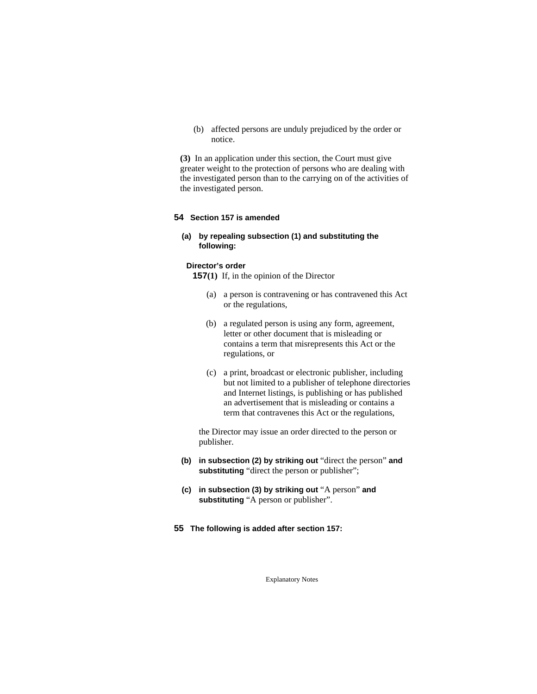(b) affected persons are unduly prejudiced by the order or notice.

**(3)** In an application under this section, the Court must give greater weight to the protection of persons who are dealing with the investigated person than to the carrying on of the activities of the investigated person.

### **54 Section 157 is amended**

# **(a) by repealing subsection (1) and substituting the following:**

#### **Director's order**

**157(1)** If, in the opinion of the Director

- (a) a person is contravening or has contravened this Act or the regulations,
- (b) a regulated person is using any form, agreement, letter or other document that is misleading or contains a term that misrepresents this Act or the regulations, or
- (c) a print, broadcast or electronic publisher, including but not limited to a publisher of telephone directories and Internet listings, is publishing or has published an advertisement that is misleading or contains a term that contravenes this Act or the regulations,

the Director may issue an order directed to the person or publisher.

- **(b) in subsection (2) by striking out** "direct the person" **and substituting** "direct the person or publisher";
- **(c) in subsection (3) by striking out** "A person" **and substituting** "A person or publisher".
- **55 The following is added after section 157:**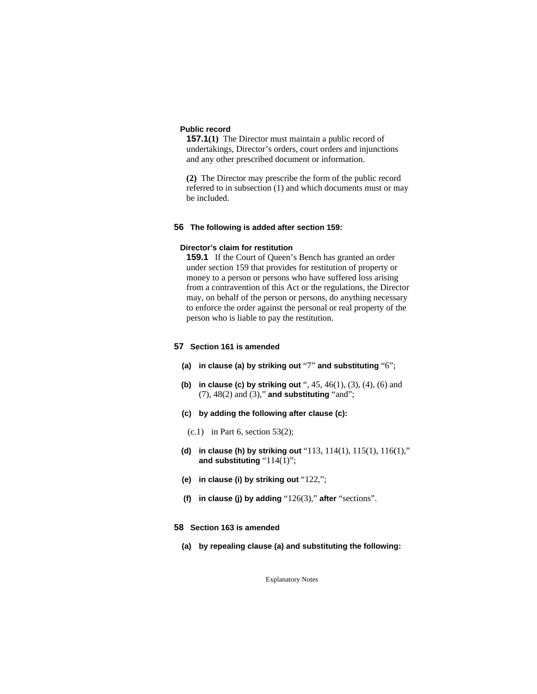#### **Public record**

**157.1(1)** The Director must maintain a public record of undertakings, Director's orders, court orders and injunctions and any other prescribed document or information.

**(2)** The Director may prescribe the form of the public record referred to in subsection (1) and which documents must or may be included.

#### **56 The following is added after section 159:**

#### **Director's claim for restitution**

**159.1** If the Court of Queen's Bench has granted an order under section 159 that provides for restitution of property or money to a person or persons who have suffered loss arising from a contravention of this Act or the regulations, the Director may, on behalf of the person or persons, do anything necessary to enforce the order against the personal or real property of the person who is liable to pay the restitution.

# **57 Section 161 is amended**

- **(a) in clause (a) by striking out** "7" **and substituting** "6";
- **(b) in clause (c) by striking out** ", 45, 46(1), (3), (4), (6) and (7), 48(2) and (3)," **and substituting** "and";
- **(c) by adding the following after clause (c):**
	- $(c.1)$  in Part 6, section 53(2);
- **(d) in clause (h) by striking out** "113, 114(1), 115(1), 116(1)," **and substituting** "114(1)";
- **(e) in clause (i) by striking out** "122,";
- **(f) in clause (j) by adding** "126(3)," **after** "sections".
- **58 Section 163 is amended** 
	- **(a) by repealing clause (a) and substituting the following:**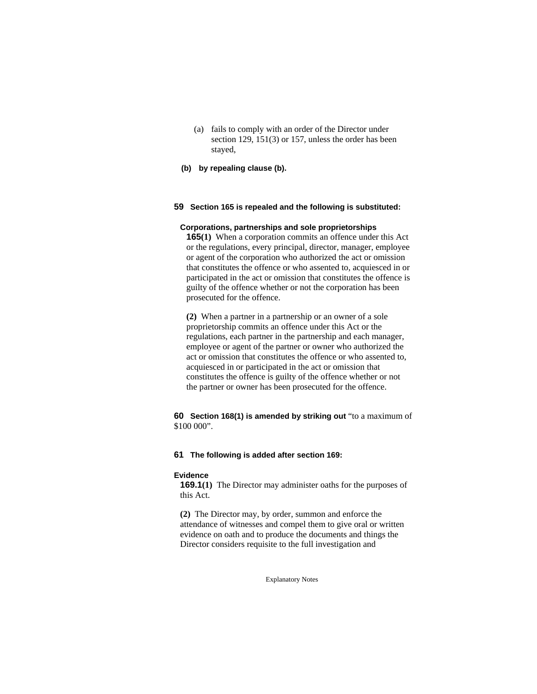- (a) fails to comply with an order of the Director under section 129, 151(3) or 157, unless the order has been stayed,
- **(b) by repealing clause (b).**

# **59 Section 165 is repealed and the following is substituted:**

### **Corporations, partnerships and sole proprietorships**

**165(1)** When a corporation commits an offence under this Act or the regulations, every principal, director, manager, employee or agent of the corporation who authorized the act or omission that constitutes the offence or who assented to, acquiesced in or participated in the act or omission that constitutes the offence is guilty of the offence whether or not the corporation has been prosecuted for the offence.

**(2)** When a partner in a partnership or an owner of a sole proprietorship commits an offence under this Act or the regulations, each partner in the partnership and each manager, employee or agent of the partner or owner who authorized the act or omission that constitutes the offence or who assented to, acquiesced in or participated in the act or omission that constitutes the offence is guilty of the offence whether or not the partner or owner has been prosecuted for the offence.

# **60 Section 168(1) is amended by striking out** "to a maximum of \$100 000".

#### **61 The following is added after section 169:**

#### **Evidence**

**169.1(1)** The Director may administer oaths for the purposes of this Act.

**(2)** The Director may, by order, summon and enforce the attendance of witnesses and compel them to give oral or written evidence on oath and to produce the documents and things the Director considers requisite to the full investigation and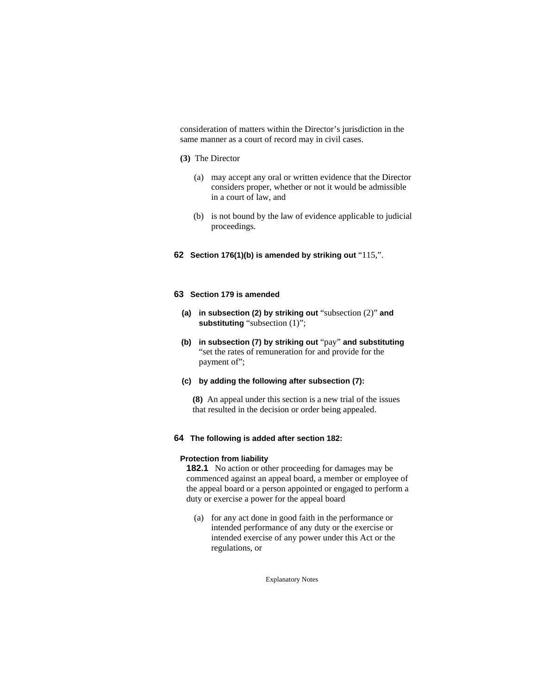consideration of matters within the Director's jurisdiction in the same manner as a court of record may in civil cases.

### **(3)** The Director

- (a) may accept any oral or written evidence that the Director considers proper, whether or not it would be admissible in a court of law, and
- (b) is not bound by the law of evidence applicable to judicial proceedings.

# **62 Section 176(1)(b) is amended by striking out** "115,".

# **63 Section 179 is amended**

- **(a) in subsection (2) by striking out** "subsection (2)" **and substituting** "subsection (1)";
- **(b) in subsection (7) by striking out** "pay" **and substituting**  "set the rates of remuneration for and provide for the payment of";
- **(c) by adding the following after subsection (7):**
	- **(8)** An appeal under this section is a new trial of the issues that resulted in the decision or order being appealed.

### **64 The following is added after section 182:**

### **Protection from liability**

**182.1** No action or other proceeding for damages may be commenced against an appeal board, a member or employee of the appeal board or a person appointed or engaged to perform a duty or exercise a power for the appeal board

 (a) for any act done in good faith in the performance or intended performance of any duty or the exercise or intended exercise of any power under this Act or the regulations, or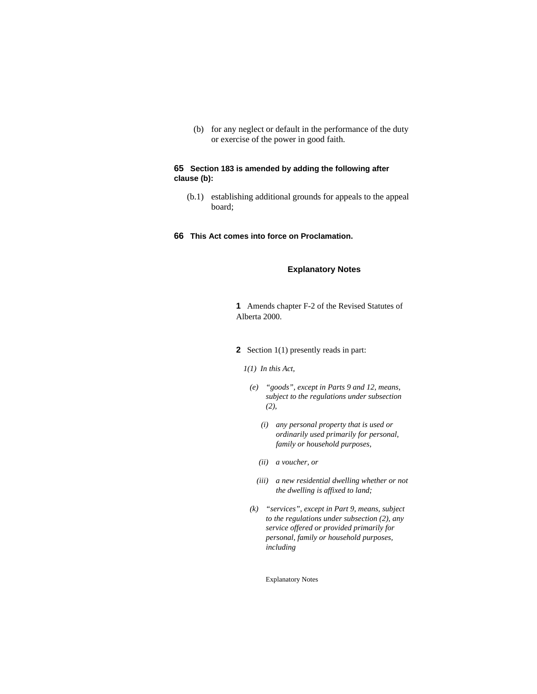(b) for any neglect or default in the performance of the duty or exercise of the power in good faith.

# **65 Section 183 is amended by adding the following after clause (b):**

- (b.1) establishing additional grounds for appeals to the appeal board;
- **66 This Act comes into force on Proclamation.**

# **Explanatory Notes**

**1** Amends chapter F-2 of the Revised Statutes of Alberta 2000.

- **2** Section 1(1) presently reads in part:
	- *1(1) In this Act,*
	- *(e) "goods", except in Parts 9 and 12, means, subject to the regulations under subsection (2),* 
		- *(i) any personal property that is used or ordinarily used primarily for personal, family or household purposes,*
		- *(ii) a voucher, or*
		- *(iii) a new residential dwelling whether or not the dwelling is affixed to land;*
	- *(k) "services", except in Part 9, means, subject to the regulations under subsection (2), any service offered or provided primarily for personal, family or household purposes, including*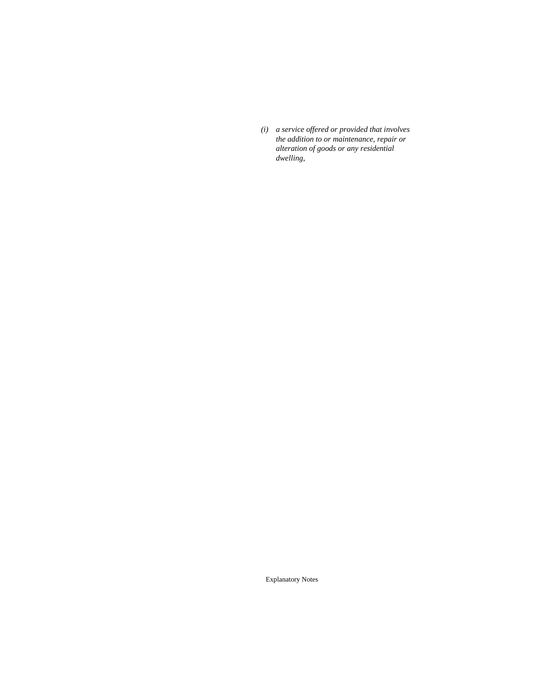*(i) a service offered or provided that involves the addition to or maintenance, repair or alteration of goods or any residential dwelling,*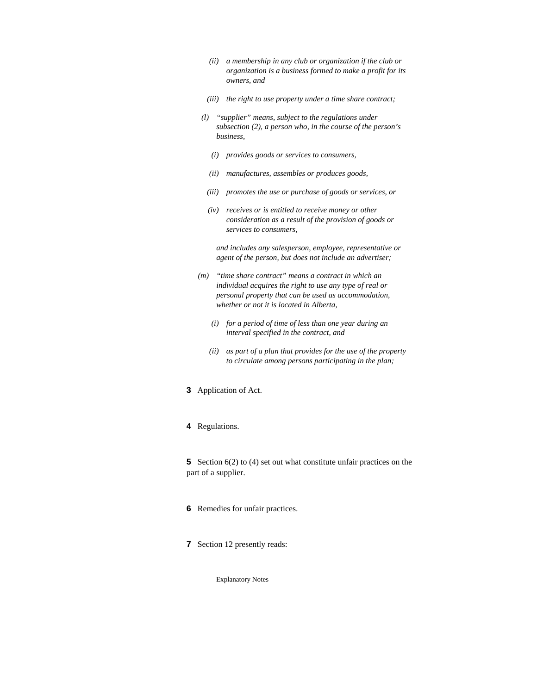- *(ii) a membership in any club or organization if the club or organization is a business formed to make a profit for its owners, and*
- *(iii) the right to use property under a time share contract;*
- *(l) "supplier" means, subject to the regulations under subsection (2), a person who, in the course of the person's business,* 
	- *(i) provides goods or services to consumers,*
	- *(ii) manufactures, assembles or produces goods,*
	- *(iii) promotes the use or purchase of goods or services, or*
	- *(iv) receives or is entitled to receive money or other consideration as a result of the provision of goods or services to consumers,*

 *and includes any salesperson, employee, representative or agent of the person, but does not include an advertiser;* 

- *(m) "time share contract" means a contract in which an individual acquires the right to use any type of real or personal property that can be used as accommodation, whether or not it is located in Alberta,* 
	- *(i) for a period of time of less than one year during an interval specified in the contract, and*
	- *(ii) as part of a plan that provides for the use of the property to circulate among persons participating in the plan;*
- **3** Application of Act.
- **4** Regulations.

**5** Section 6(2) to (4) set out what constitute unfair practices on the part of a supplier.

- **6** Remedies for unfair practices.
- **7** Section 12 presently reads: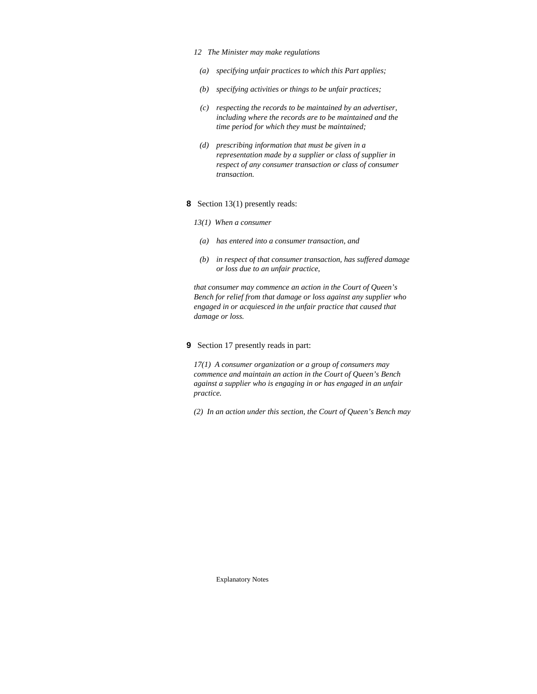#### *12 The Minister may make regulations*

- *(a) specifying unfair practices to which this Part applies;*
- *(b) specifying activities or things to be unfair practices;*
- *(c) respecting the records to be maintained by an advertiser, including where the records are to be maintained and the time period for which they must be maintained;*
- *(d) prescribing information that must be given in a representation made by a supplier or class of supplier in respect of any consumer transaction or class of consumer transaction.*
- **8** Section 13(1) presently reads:
	- *13(1) When a consumer*
	- *(a) has entered into a consumer transaction, and*
	- *(b) in respect of that consumer transaction, has suffered damage or loss due to an unfair practice,*

*that consumer may commence an action in the Court of Queen's Bench for relief from that damage or loss against any supplier who engaged in or acquiesced in the unfair practice that caused that damage or loss.* 

# **9** Section 17 presently reads in part:

*17(1) A consumer organization or a group of consumers may commence and maintain an action in the Court of Queen's Bench against a supplier who is engaging in or has engaged in an unfair practice.* 

*(2) In an action under this section, the Court of Queen's Bench may*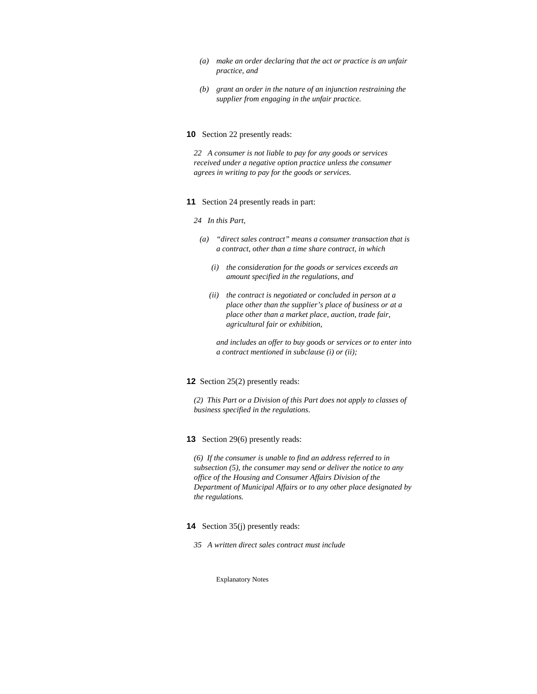- *(a) make an order declaring that the act or practice is an unfair practice, and*
- *(b) grant an order in the nature of an injunction restraining the supplier from engaging in the unfair practice.*

#### **10** Section 22 presently reads:

*22 A consumer is not liable to pay for any goods or services received under a negative option practice unless the consumer agrees in writing to pay for the goods or services.* 

#### **11** Section 24 presently reads in part:

#### *24 In this Part,*

- *(a) "direct sales contract" means a consumer transaction that is a contract, other than a time share contract, in which* 
	- *(i) the consideration for the goods or services exceeds an amount specified in the regulations, and*
	- *(ii) the contract is negotiated or concluded in person at a place other than the supplier's place of business or at a place other than a market place, auction, trade fair, agricultural fair or exhibition,*

 *and includes an offer to buy goods or services or to enter into a contract mentioned in subclause (i) or (ii);* 

#### **12** Section 25(2) presently reads:

*(2) This Part or a Division of this Part does not apply to classes of business specified in the regulations.* 

#### **13** Section 29(6) presently reads:

*(6) If the consumer is unable to find an address referred to in subsection (5), the consumer may send or deliver the notice to any office of the Housing and Consumer Affairs Division of the Department of Municipal Affairs or to any other place designated by the regulations.* 

# **14** Section 35(j) presently reads:

*35 A written direct sales contract must include*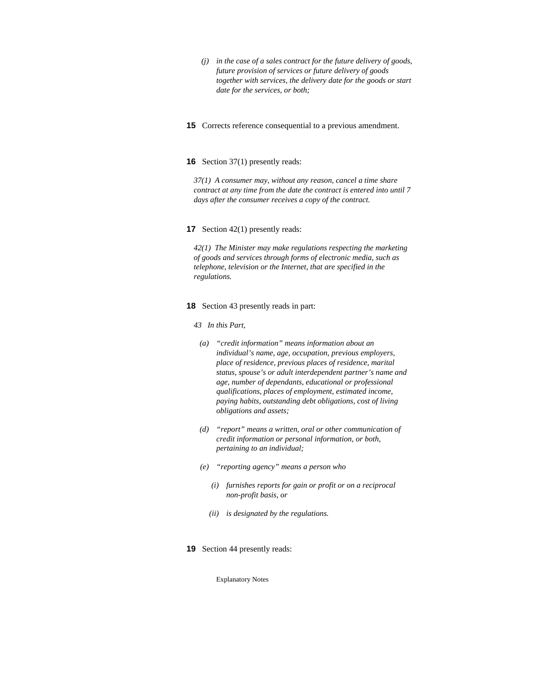- *(j) in the case of a sales contract for the future delivery of goods, future provision of services or future delivery of goods together with services, the delivery date for the goods or start date for the services, or both;*
- **15** Corrects reference consequential to a previous amendment.

#### **16** Section 37(1) presently reads:

*37(1) A consumer may, without any reason, cancel a time share contract at any time from the date the contract is entered into until 7 days after the consumer receives a copy of the contract.* 

#### **17** Section 42(1) presently reads:

*42(1) The Minister may make regulations respecting the marketing of goods and services through forms of electronic media, such as telephone, television or the Internet, that are specified in the regulations.* 

#### **18** Section 43 presently reads in part:

#### *43 In this Part,*

- *(a) "credit information" means information about an individual's name, age, occupation, previous employers, place of residence, previous places of residence, marital status, spouse's or adult interdependent partner's name and age, number of dependants, educational or professional qualifications, places of employment, estimated income, paying habits, outstanding debt obligations, cost of living obligations and assets;*
- *(d) "report" means a written, oral or other communication of credit information or personal information, or both, pertaining to an individual;*
- *(e) "reporting agency" means a person who* 
	- *(i) furnishes reports for gain or profit or on a reciprocal non-profit basis, or*
	- *(ii) is designated by the regulations.*
- **19** Section 44 presently reads: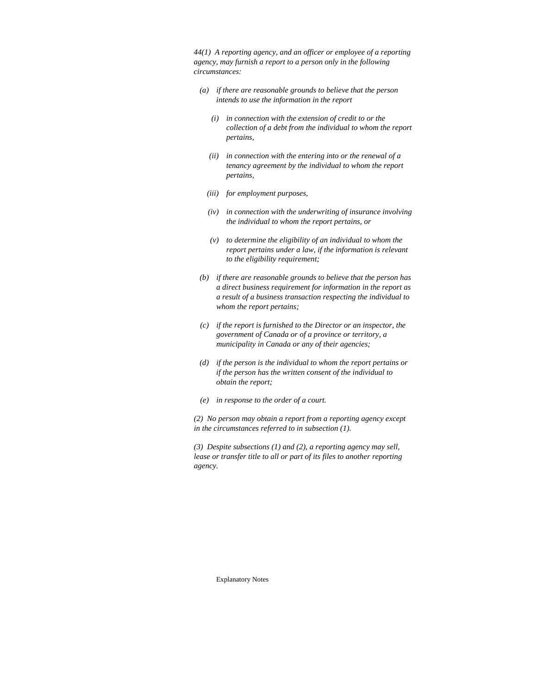*44(1) A reporting agency, and an officer or employee of a reporting agency, may furnish a report to a person only in the following circumstances:* 

- *(a) if there are reasonable grounds to believe that the person intends to use the information in the report* 
	- *(i) in connection with the extension of credit to or the collection of a debt from the individual to whom the report pertains,*
	- *(ii) in connection with the entering into or the renewal of a tenancy agreement by the individual to whom the report pertains,*
	- *(iii) for employment purposes,*
	- *(iv) in connection with the underwriting of insurance involving the individual to whom the report pertains, or*
	- *(v) to determine the eligibility of an individual to whom the report pertains under a law, if the information is relevant to the eligibility requirement;*
- *(b) if there are reasonable grounds to believe that the person has a direct business requirement for information in the report as a result of a business transaction respecting the individual to whom the report pertains;*
- *(c) if the report is furnished to the Director or an inspector, the government of Canada or of a province or territory, a municipality in Canada or any of their agencies;*
- *(d) if the person is the individual to whom the report pertains or if the person has the written consent of the individual to obtain the report;*
- *(e) in response to the order of a court.*

*(2) No person may obtain a report from a reporting agency except in the circumstances referred to in subsection (1).* 

*(3) Despite subsections (1) and (2), a reporting agency may sell, lease or transfer title to all or part of its files to another reporting agency.*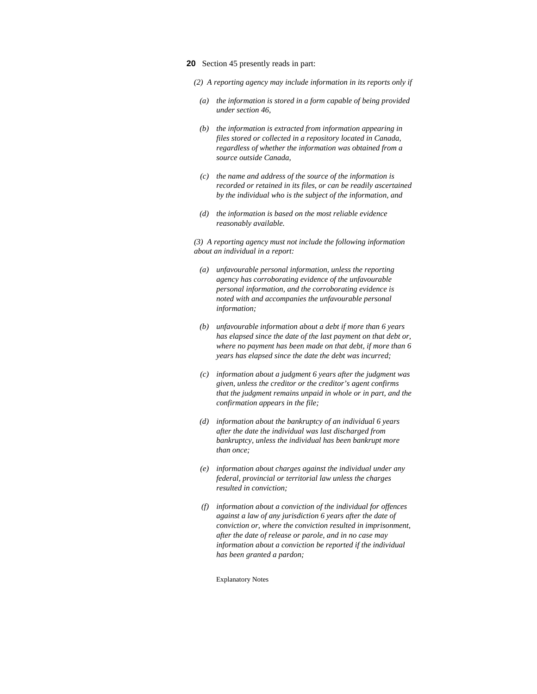- **20** Section 45 presently reads in part:
	- *(2) A reporting agency may include information in its reports only if*
	- *(a) the information is stored in a form capable of being provided under section 46,*
	- *(b) the information is extracted from information appearing in files stored or collected in a repository located in Canada, regardless of whether the information was obtained from a source outside Canada,*
	- *(c) the name and address of the source of the information is recorded or retained in its files, or can be readily ascertained by the individual who is the subject of the information, and*
	- *(d) the information is based on the most reliable evidence reasonably available.*

*(3) A reporting agency must not include the following information about an individual in a report:* 

- *(a) unfavourable personal information, unless the reporting agency has corroborating evidence of the unfavourable personal information, and the corroborating evidence is noted with and accompanies the unfavourable personal information;*
- *(b) unfavourable information about a debt if more than 6 years has elapsed since the date of the last payment on that debt or, where no payment has been made on that debt, if more than 6 years has elapsed since the date the debt was incurred;*
- *(c) information about a judgment 6 years after the judgment was given, unless the creditor or the creditor's agent confirms that the judgment remains unpaid in whole or in part, and the confirmation appears in the file;*
- *(d) information about the bankruptcy of an individual 6 years after the date the individual was last discharged from bankruptcy, unless the individual has been bankrupt more than once;*
- *(e) information about charges against the individual under any federal, provincial or territorial law unless the charges resulted in conviction;*
- *(f) information about a conviction of the individual for offences against a law of any jurisdiction 6 years after the date of conviction or, where the conviction resulted in imprisonment, after the date of release or parole, and in no case may information about a conviction be reported if the individual has been granted a pardon;*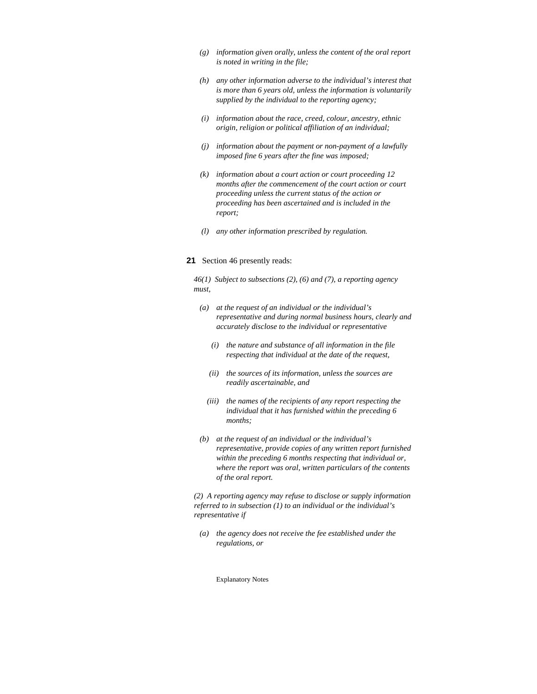- *(g) information given orally, unless the content of the oral report is noted in writing in the file;*
- *(h) any other information adverse to the individual's interest that is more than 6 years old, unless the information is voluntarily supplied by the individual to the reporting agency;*
- *(i) information about the race, creed, colour, ancestry, ethnic origin, religion or political affiliation of an individual;*
- *(j) information about the payment or non-payment of a lawfully imposed fine 6 years after the fine was imposed;*
- *(k) information about a court action or court proceeding 12 months after the commencement of the court action or court proceeding unless the current status of the action or proceeding has been ascertained and is included in the report;*
- *(l) any other information prescribed by regulation.*

#### **21** Section 46 presently reads:

*46(1) Subject to subsections (2), (6) and (7), a reporting agency must,* 

- *(a) at the request of an individual or the individual's representative and during normal business hours, clearly and accurately disclose to the individual or representative* 
	- *(i) the nature and substance of all information in the file respecting that individual at the date of the request,*
	- *(ii) the sources of its information, unless the sources are readily ascertainable, and*
	- *(iii) the names of the recipients of any report respecting the individual that it has furnished within the preceding 6 months;*
- *(b) at the request of an individual or the individual's representative, provide copies of any written report furnished within the preceding 6 months respecting that individual or, where the report was oral, written particulars of the contents of the oral report.*

*(2) A reporting agency may refuse to disclose or supply information referred to in subsection (1) to an individual or the individual's representative if* 

 *(a) the agency does not receive the fee established under the regulations, or*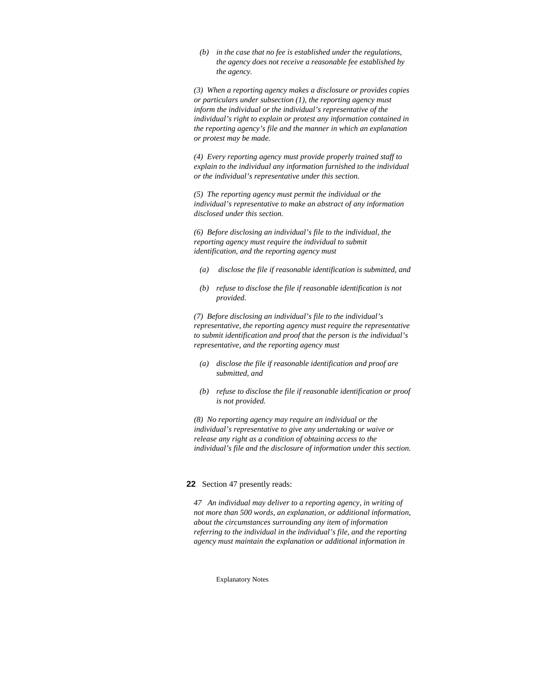*(b) in the case that no fee is established under the regulations, the agency does not receive a reasonable fee established by the agency.* 

*(3) When a reporting agency makes a disclosure or provides copies or particulars under subsection (1), the reporting agency must inform the individual or the individual's representative of the individual's right to explain or protest any information contained in the reporting agency's file and the manner in which an explanation or protest may be made.* 

*(4) Every reporting agency must provide properly trained staff to explain to the individual any information furnished to the individual or the individual's representative under this section.* 

*(5) The reporting agency must permit the individual or the individual's representative to make an abstract of any information disclosed under this section.* 

*(6) Before disclosing an individual's file to the individual, the reporting agency must require the individual to submit identification, and the reporting agency must* 

- *(a) disclose the file if reasonable identification is submitted, and*
- *(b) refuse to disclose the file if reasonable identification is not provided.*

*(7) Before disclosing an individual's file to the individual's representative, the reporting agency must require the representative to submit identification and proof that the person is the individual's representative, and the reporting agency must* 

- *(a) disclose the file if reasonable identification and proof are submitted, and*
- *(b) refuse to disclose the file if reasonable identification or proof is not provided.*

*(8) No reporting agency may require an individual or the individual's representative to give any undertaking or waive or release any right as a condition of obtaining access to the individual's file and the disclosure of information under this section.* 

### **22** Section 47 presently reads:

*47 An individual may deliver to a reporting agency, in writing of not more than 500 words, an explanation, or additional information, about the circumstances surrounding any item of information referring to the individual in the individual's file, and the reporting agency must maintain the explanation or additional information in*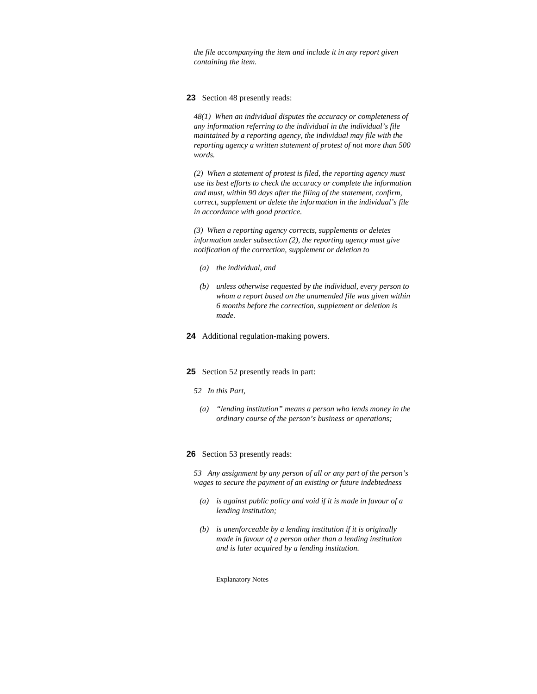*the file accompanying the item and include it in any report given containing the item.* 

### **23** Section 48 presently reads:

*48(1) When an individual disputes the accuracy or completeness of any information referring to the individual in the individual's file maintained by a reporting agency, the individual may file with the reporting agency a written statement of protest of not more than 500 words.* 

*(2) When a statement of protest is filed, the reporting agency must use its best efforts to check the accuracy or complete the information and must, within 90 days after the filing of the statement, confirm, correct, supplement or delete the information in the individual's file in accordance with good practice.* 

*(3) When a reporting agency corrects, supplements or deletes information under subsection (2), the reporting agency must give notification of the correction, supplement or deletion to* 

- *(a) the individual, and*
- *(b) unless otherwise requested by the individual, every person to whom a report based on the unamended file was given within 6 months before the correction, supplement or deletion is made.*
- **24** Additional regulation-making powers.

#### **25** Section 52 presently reads in part:

#### *52 In this Part,*

 *(a) "lending institution" means a person who lends money in the ordinary course of the person's business or operations;* 

# **26** Section 53 presently reads:

*53 Any assignment by any person of all or any part of the person's wages to secure the payment of an existing or future indebtedness* 

- *(a) is against public policy and void if it is made in favour of a lending institution;*
- *(b) is unenforceable by a lending institution if it is originally made in favour of a person other than a lending institution and is later acquired by a lending institution.*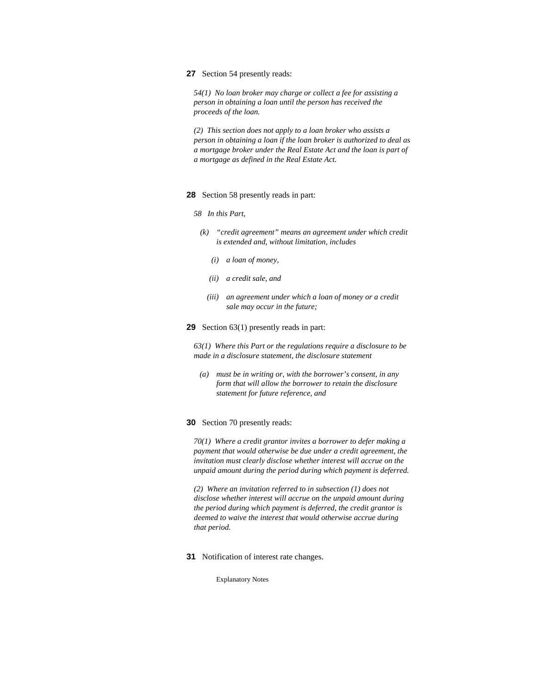#### **27** Section 54 presently reads:

*54(1) No loan broker may charge or collect a fee for assisting a person in obtaining a loan until the person has received the proceeds of the loan.* 

*(2) This section does not apply to a loan broker who assists a person in obtaining a loan if the loan broker is authorized to deal as a mortgage broker under the Real Estate Act and the loan is part of a mortgage as defined in the Real Estate Act.* 

#### **28** Section 58 presently reads in part:

- *58 In this Part,* 
	- *(k) "credit agreement" means an agreement under which credit is extended and, without limitation, includes* 
		- *(i) a loan of money,*
		- *(ii) a credit sale, and*
		- *(iii) an agreement under which a loan of money or a credit sale may occur in the future;*

### **29** Section 63(1) presently reads in part:

*63(1) Where this Part or the regulations require a disclosure to be made in a disclosure statement, the disclosure statement* 

 *(a) must be in writing or, with the borrower's consent, in any form that will allow the borrower to retain the disclosure statement for future reference, and* 

#### **30** Section 70 presently reads:

*70(1) Where a credit grantor invites a borrower to defer making a payment that would otherwise be due under a credit agreement, the invitation must clearly disclose whether interest will accrue on the unpaid amount during the period during which payment is deferred.* 

*(2) Where an invitation referred to in subsection (1) does not disclose whether interest will accrue on the unpaid amount during the period during which payment is deferred, the credit grantor is deemed to waive the interest that would otherwise accrue during that period.* 

**31** Notification of interest rate changes.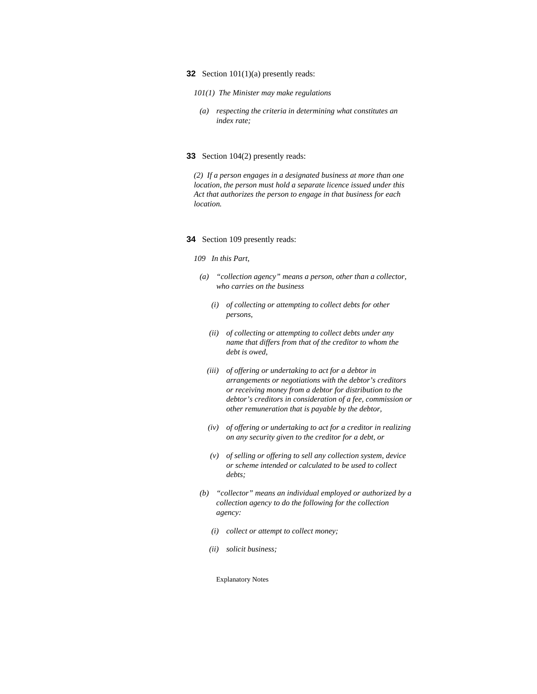#### **32** Section 101(1)(a) presently reads:

#### *101(1) The Minister may make regulations*

 *(a) respecting the criteria in determining what constitutes an index rate;* 

#### **33** Section 104(2) presently reads:

*(2) If a person engages in a designated business at more than one location, the person must hold a separate licence issued under this Act that authorizes the person to engage in that business for each location.* 

#### **34** Section 109 presently reads:

#### *109 In this Part,*

- *(a) "collection agency" means a person, other than a collector, who carries on the business* 
	- *(i) of collecting or attempting to collect debts for other persons,*
	- *(ii) of collecting or attempting to collect debts under any name that differs from that of the creditor to whom the debt is owed,*
	- *(iii) of offering or undertaking to act for a debtor in arrangements or negotiations with the debtor's creditors or receiving money from a debtor for distribution to the debtor's creditors in consideration of a fee, commission or other remuneration that is payable by the debtor,*
	- *(iv) of offering or undertaking to act for a creditor in realizing on any security given to the creditor for a debt, or*
	- *(v) of selling or offering to sell any collection system, device or scheme intended or calculated to be used to collect debts;*
- *(b) "collector" means an individual employed or authorized by a collection agency to do the following for the collection agency:* 
	- *(i) collect or attempt to collect money;*
	- *(ii) solicit business;*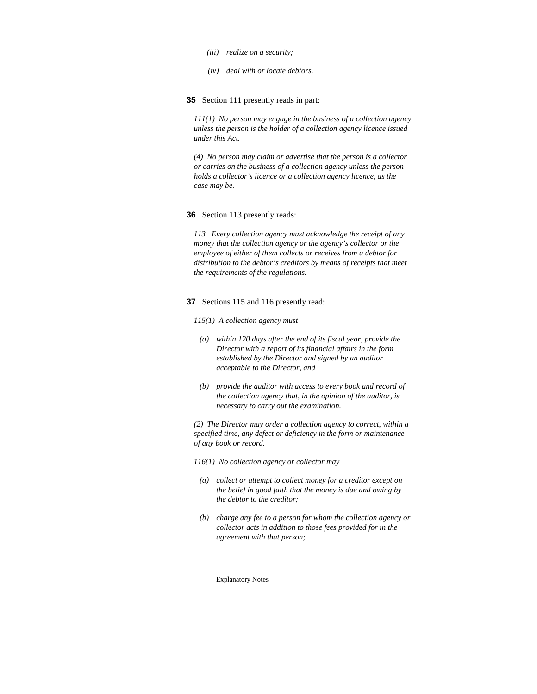- *(iii) realize on a security;*
- *(iv) deal with or locate debtors.*

**35** Section 111 presently reads in part:

*111(1) No person may engage in the business of a collection agency unless the person is the holder of a collection agency licence issued under this Act.* 

*(4) No person may claim or advertise that the person is a collector or carries on the business of a collection agency unless the person holds a collector's licence or a collection agency licence, as the case may be.* 

#### **36** Section 113 presently reads:

*113 Every collection agency must acknowledge the receipt of any money that the collection agency or the agency's collector or the employee of either of them collects or receives from a debtor for distribution to the debtor's creditors by means of receipts that meet the requirements of the regulations.* 

#### **37** Sections 115 and 116 presently read:

- *115(1) A collection agency must*
- *(a) within 120 days after the end of its fiscal year, provide the Director with a report of its financial affairs in the form established by the Director and signed by an auditor acceptable to the Director, and*
- *(b) provide the auditor with access to every book and record of the collection agency that, in the opinion of the auditor, is necessary to carry out the examination.*

*(2) The Director may order a collection agency to correct, within a specified time, any defect or deficiency in the form or maintenance of any book or record.* 

*116(1) No collection agency or collector may* 

- *(a) collect or attempt to collect money for a creditor except on the belief in good faith that the money is due and owing by the debtor to the creditor;*
- *(b) charge any fee to a person for whom the collection agency or collector acts in addition to those fees provided for in the agreement with that person;*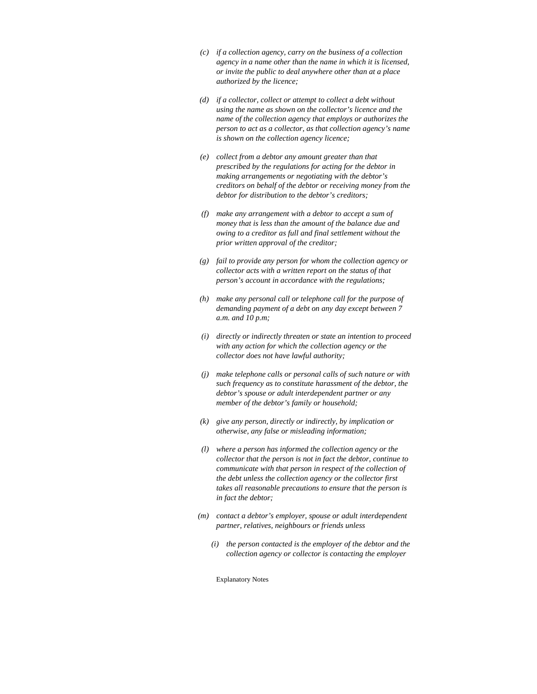- *(c) if a collection agency, carry on the business of a collection agency in a name other than the name in which it is licensed, or invite the public to deal anywhere other than at a place authorized by the licence;*
- *(d) if a collector, collect or attempt to collect a debt without using the name as shown on the collector's licence and the name of the collection agency that employs or authorizes the person to act as a collector, as that collection agency's name is shown on the collection agency licence;*
- *(e) collect from a debtor any amount greater than that prescribed by the regulations for acting for the debtor in making arrangements or negotiating with the debtor's creditors on behalf of the debtor or receiving money from the debtor for distribution to the debtor's creditors;*
- *(f) make any arrangement with a debtor to accept a sum of money that is less than the amount of the balance due and owing to a creditor as full and final settlement without the prior written approval of the creditor;*
- *(g) fail to provide any person for whom the collection agency or collector acts with a written report on the status of that person's account in accordance with the regulations;*
- *(h) make any personal call or telephone call for the purpose of demanding payment of a debt on any day except between 7 a.m. and 10 p.m;*
- *(i) directly or indirectly threaten or state an intention to proceed with any action for which the collection agency or the collector does not have lawful authority;*
- *(j) make telephone calls or personal calls of such nature or with such frequency as to constitute harassment of the debtor, the debtor's spouse or adult interdependent partner or any member of the debtor's family or household;*
- *(k) give any person, directly or indirectly, by implication or otherwise, any false or misleading information;*
- *(l) where a person has informed the collection agency or the collector that the person is not in fact the debtor, continue to communicate with that person in respect of the collection of the debt unless the collection agency or the collector first takes all reasonable precautions to ensure that the person is in fact the debtor;*
- *(m) contact a debtor's employer, spouse or adult interdependent partner, relatives, neighbours or friends unless* 
	- *(i) the person contacted is the employer of the debtor and the collection agency or collector is contacting the employer*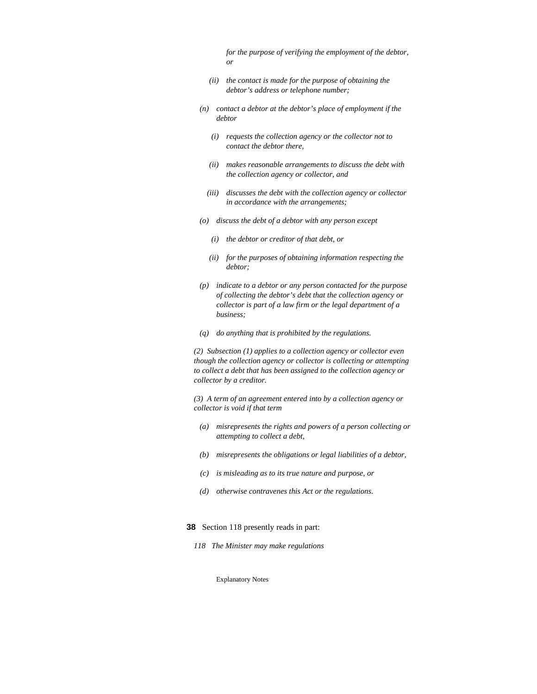*for the purpose of verifying the employment of the debtor, or* 

- *(ii) the contact is made for the purpose of obtaining the debtor's address or telephone number;*
- *(n) contact a debtor at the debtor's place of employment if the debtor* 
	- *(i) requests the collection agency or the collector not to contact the debtor there,*
	- *(ii) makes reasonable arrangements to discuss the debt with the collection agency or collector, and*
	- *(iii) discusses the debt with the collection agency or collector in accordance with the arrangements;*
- *(o) discuss the debt of a debtor with any person except* 
	- *(i) the debtor or creditor of that debt, or*
	- *(ii) for the purposes of obtaining information respecting the debtor;*
- *(p) indicate to a debtor or any person contacted for the purpose of collecting the debtor's debt that the collection agency or collector is part of a law firm or the legal department of a business;*
- *(q) do anything that is prohibited by the regulations.*

*(2) Subsection (1) applies to a collection agency or collector even though the collection agency or collector is collecting or attempting to collect a debt that has been assigned to the collection agency or collector by a creditor.* 

*(3) A term of an agreement entered into by a collection agency or collector is void if that term* 

- *(a) misrepresents the rights and powers of a person collecting or attempting to collect a debt,*
- *(b) misrepresents the obligations or legal liabilities of a debtor,*
- *(c) is misleading as to its true nature and purpose, or*
- *(d) otherwise contravenes this Act or the regulations.*

#### **38** Section 118 presently reads in part:

*118 The Minister may make regulations*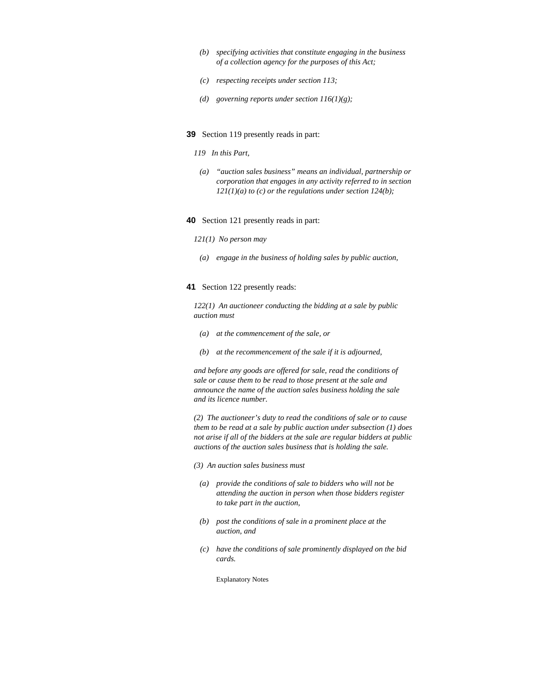- *(b) specifying activities that constitute engaging in the business of a collection agency for the purposes of this Act;*
- *(c) respecting receipts under section 113;*
- *(d) governing reports under section 116(1)(g);*
- **39** Section 119 presently reads in part:
	- *119 In this Part,*
	- *(a) "auction sales business" means an individual, partnership or corporation that engages in any activity referred to in section 121(1)(a) to (c) or the regulations under section 124(b);*
- **40** Section 121 presently reads in part:

#### *121(1) No person may*

 *(a) engage in the business of holding sales by public auction,* 

#### **41** Section 122 presently reads:

*122(1) An auctioneer conducting the bidding at a sale by public auction must* 

- *(a) at the commencement of the sale, or*
- *(b) at the recommencement of the sale if it is adjourned,*

*and before any goods are offered for sale, read the conditions of sale or cause them to be read to those present at the sale and announce the name of the auction sales business holding the sale and its licence number.* 

*(2) The auctioneer's duty to read the conditions of sale or to cause them to be read at a sale by public auction under subsection (1) does not arise if all of the bidders at the sale are regular bidders at public auctions of the auction sales business that is holding the sale.* 

*(3) An auction sales business must* 

- *(a) provide the conditions of sale to bidders who will not be attending the auction in person when those bidders register to take part in the auction,*
- *(b) post the conditions of sale in a prominent place at the auction, and*
- *(c) have the conditions of sale prominently displayed on the bid cards.*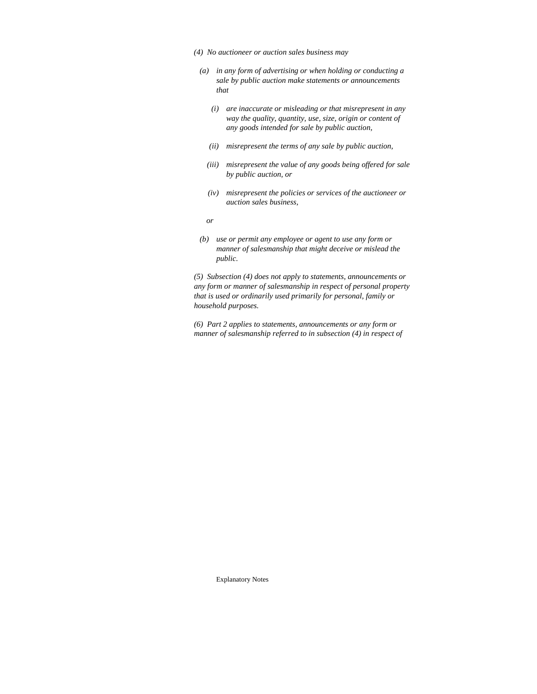- *(4) No auctioneer or auction sales business may*
- *(a) in any form of advertising or when holding or conducting a sale by public auction make statements or announcements that* 
	- *(i) are inaccurate or misleading or that misrepresent in any way the quality, quantity, use, size, origin or content of any goods intended for sale by public auction,*
	- *(ii) misrepresent the terms of any sale by public auction,*
	- *(iii) misrepresent the value of any goods being offered for sale by public auction, or*
	- *(iv) misrepresent the policies or services of the auctioneer or auction sales business,*
- *or* 
	- *(b) use or permit any employee or agent to use any form or manner of salesmanship that might deceive or mislead the public.*

*(5) Subsection (4) does not apply to statements, announcements or any form or manner of salesmanship in respect of personal property that is used or ordinarily used primarily for personal, family or household purposes.* 

*(6) Part 2 applies to statements, announcements or any form or manner of salesmanship referred to in subsection (4) in respect of*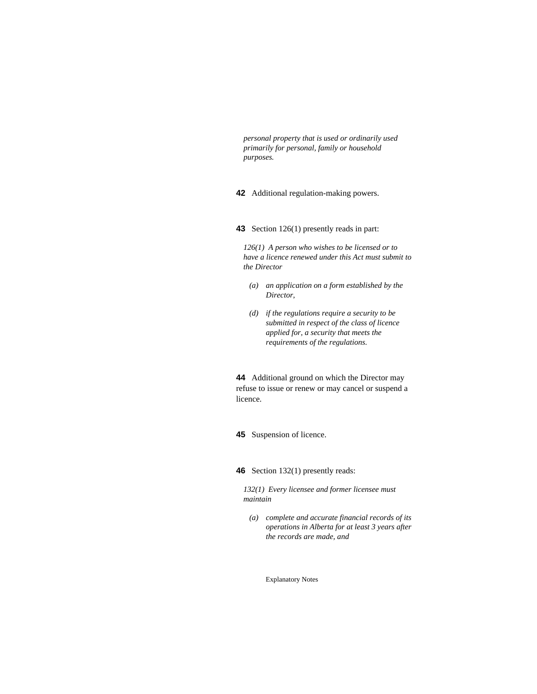*personal property that is used or ordinarily used primarily for personal, family or household purposes.* 

**42** Additional regulation-making powers.

**43** Section 126(1) presently reads in part:

*126(1) A person who wishes to be licensed or to have a licence renewed under this Act must submit to the Director* 

- *(a) an application on a form established by the Director,*
- *(d) if the regulations require a security to be submitted in respect of the class of licence applied for, a security that meets the requirements of the regulations.*

**44** Additional ground on which the Director may refuse to issue or renew or may cancel or suspend a licence.

**45** Suspension of licence.

**46** Section 132(1) presently reads:

*132(1) Every licensee and former licensee must maintain* 

 *(a) complete and accurate financial records of its operations in Alberta for at least 3 years after the records are made, and*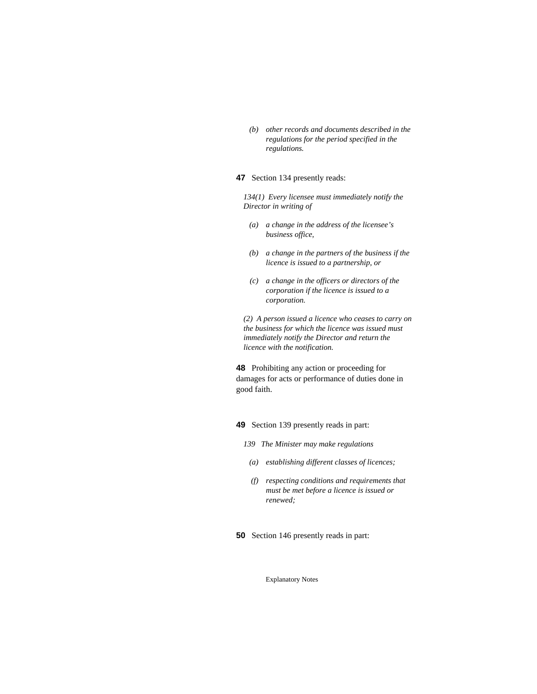*(b) other records and documents described in the regulations for the period specified in the regulations.* 

### **47** Section 134 presently reads:

*134(1) Every licensee must immediately notify the Director in writing of* 

- *(a) a change in the address of the licensee's business office,*
- *(b) a change in the partners of the business if the licence is issued to a partnership, or*
- *(c) a change in the officers or directors of the corporation if the licence is issued to a corporation.*

*(2) A person issued a licence who ceases to carry on the business for which the licence was issued must immediately notify the Director and return the licence with the notification.* 

**48** Prohibiting any action or proceeding for damages for acts or performance of duties done in good faith.

**49** Section 139 presently reads in part:

- *139 The Minister may make regulations* 
	- *(a) establishing different classes of licences;*
	- *(f) respecting conditions and requirements that must be met before a licence is issued or renewed;*

**50** Section 146 presently reads in part: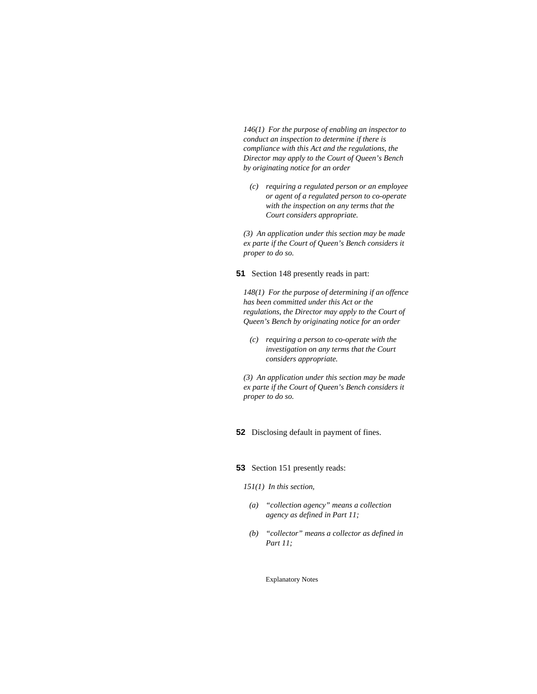*146(1) For the purpose of enabling an inspector to conduct an inspection to determine if there is compliance with this Act and the regulations, the Director may apply to the Court of Queen's Bench by originating notice for an order* 

 *(c) requiring a regulated person or an employee or agent of a regulated person to co-operate with the inspection on any terms that the Court considers appropriate.* 

*(3) An application under this section may be made ex parte if the Court of Queen's Bench considers it proper to do so.* 

**51** Section 148 presently reads in part:

*148(1) For the purpose of determining if an offence has been committed under this Act or the regulations, the Director may apply to the Court of Queen's Bench by originating notice for an order* 

 *(c) requiring a person to co-operate with the investigation on any terms that the Court considers appropriate.* 

*(3) An application under this section may be made ex parte if the Court of Queen's Bench considers it proper to do so.* 

**52** Disclosing default in payment of fines.

**53** Section 151 presently reads:

*151(1) In this section,* 

- *(a) "collection agency" means a collection agency as defined in Part 11;*
- *(b) "collector" means a collector as defined in Part 11;*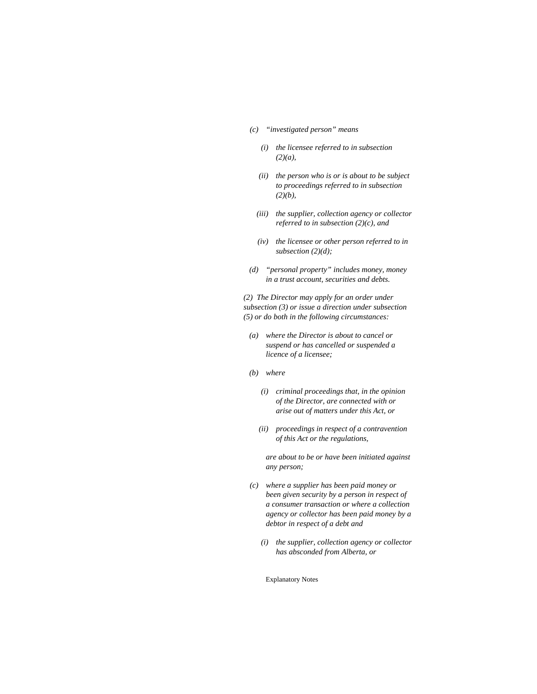- *(c) "investigated person" means* 
	- *(i) the licensee referred to in subsection (2)(a),*
	- *(ii) the person who is or is about to be subject to proceedings referred to in subsection (2)(b),*
	- *(iii) the supplier, collection agency or collector referred to in subsection (2)(c), and*
	- *(iv) the licensee or other person referred to in subsection (2)(d);*
- *(d) "personal property" includes money, money in a trust account, securities and debts.*

*(2) The Director may apply for an order under subsection (3) or issue a direction under subsection (5) or do both in the following circumstances:* 

- *(a) where the Director is about to cancel or suspend or has cancelled or suspended a licence of a licensee;*
- *(b) where* 
	- *(i) criminal proceedings that, in the opinion of the Director, are connected with or arise out of matters under this Act, or*
	- *(ii) proceedings in respect of a contravention of this Act or the regulations,*

 *are about to be or have been initiated against any person;* 

- *(c) where a supplier has been paid money or been given security by a person in respect of a consumer transaction or where a collection agency or collector has been paid money by a debtor in respect of a debt and* 
	- *(i) the supplier, collection agency or collector has absconded from Alberta, or*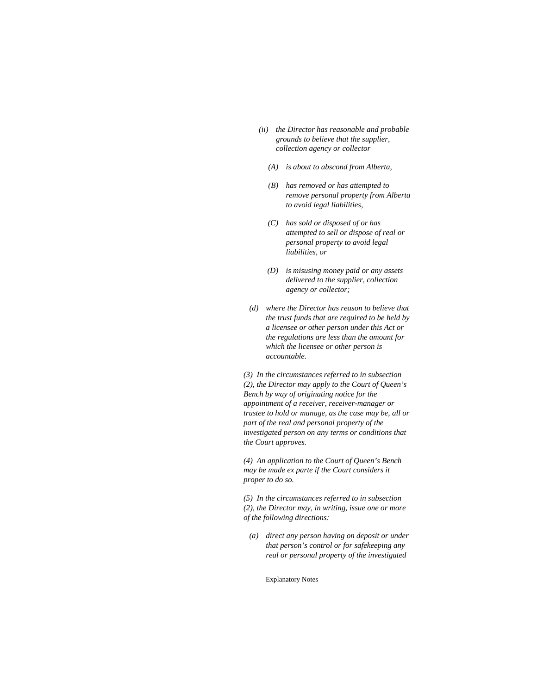- *(ii) the Director has reasonable and probable grounds to believe that the supplier, collection agency or collector* 
	- *(A) is about to abscond from Alberta,*
	- *(B) has removed or has attempted to remove personal property from Alberta to avoid legal liabilities,*
	- *(C) has sold or disposed of or has attempted to sell or dispose of real or personal property to avoid legal liabilities, or*
	- *(D) is misusing money paid or any assets delivered to the supplier, collection agency or collector;*
- *(d) where the Director has reason to believe that the trust funds that are required to be held by a licensee or other person under this Act or the regulations are less than the amount for which the licensee or other person is accountable.*

*(3) In the circumstances referred to in subsection (2), the Director may apply to the Court of Queen's Bench by way of originating notice for the appointment of a receiver, receiver-manager or trustee to hold or manage, as the case may be, all or part of the real and personal property of the investigated person on any terms or conditions that the Court approves.* 

*(4) An application to the Court of Queen's Bench may be made ex parte if the Court considers it proper to do so.* 

*(5) In the circumstances referred to in subsection (2), the Director may, in writing, issue one or more of the following directions:* 

 *(a) direct any person having on deposit or under that person's control or for safekeeping any real or personal property of the investigated*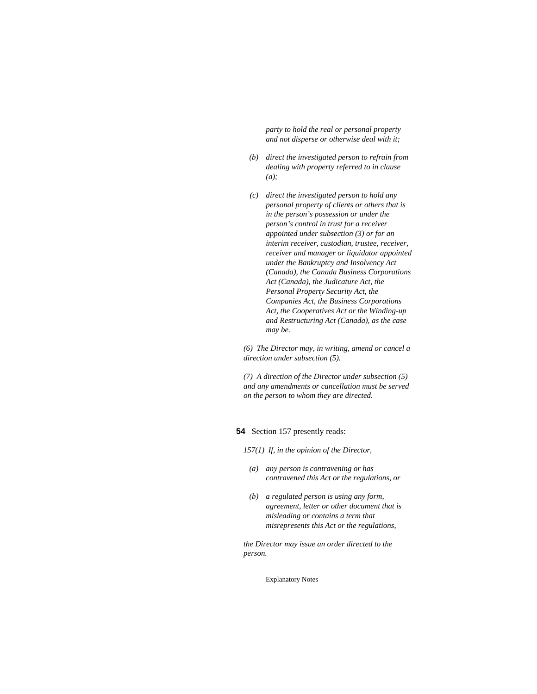*party to hold the real or personal property and not disperse or otherwise deal with it;* 

- *(b) direct the investigated person to refrain from dealing with property referred to in clause (a);*
- *(c) direct the investigated person to hold any personal property of clients or others that is in the person's possession or under the person's control in trust for a receiver appointed under subsection (3) or for an interim receiver, custodian, trustee, receiver, receiver and manager or liquidator appointed under the Bankruptcy and Insolvency Act (Canada), the Canada Business Corporations Act (Canada), the Judicature Act, the Personal Property Security Act, the Companies Act, the Business Corporations Act, the Cooperatives Act or the Winding-up and Restructuring Act (Canada), as the case may be.*

*(6) The Director may, in writing, amend or cancel a direction under subsection (5).* 

*(7) A direction of the Director under subsection (5) and any amendments or cancellation must be served on the person to whom they are directed.* 

# **54** Section 157 presently reads:

*157(1) If, in the opinion of the Director,* 

- *(a) any person is contravening or has contravened this Act or the regulations, or*
- *(b) a regulated person is using any form, agreement, letter or other document that is misleading or contains a term that misrepresents this Act or the regulations,*

*the Director may issue an order directed to the person.*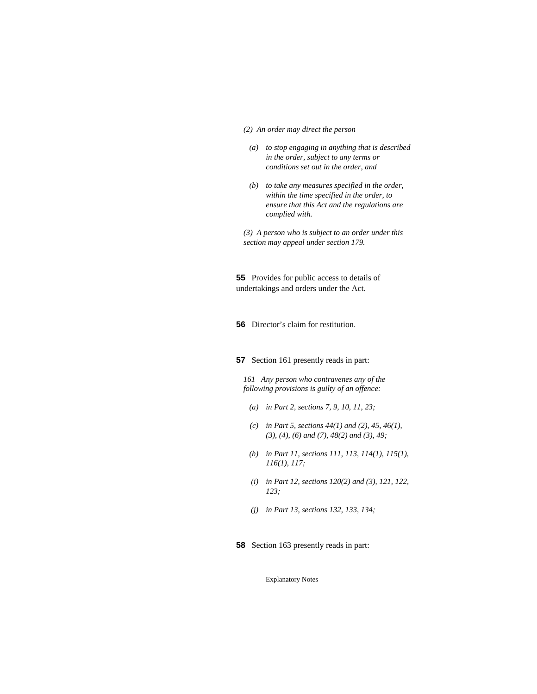#### *(2) An order may direct the person*

- *(a) to stop engaging in anything that is described in the order, subject to any terms or conditions set out in the order, and*
- *(b) to take any measures specified in the order, within the time specified in the order, to ensure that this Act and the regulations are complied with.*

*(3) A person who is subject to an order under this section may appeal under section 179.* 

**55** Provides for public access to details of undertakings and orders under the Act.

**56** Director's claim for restitution.

**57** Section 161 presently reads in part:

*161 Any person who contravenes any of the following provisions is guilty of an offence:* 

- *(a) in Part 2, sections 7, 9, 10, 11, 23;*
- *(c) in Part 5, sections 44(1) and (2), 45, 46(1), (3), (4), (6) and (7), 48(2) and (3), 49;*
- *(h) in Part 11, sections 111, 113, 114(1), 115(1), 116(1), 117;*
- *(i) in Part 12, sections 120(2) and (3), 121, 122, 123;*
- *(j) in Part 13, sections 132, 133, 134;*
- **58** Section 163 presently reads in part: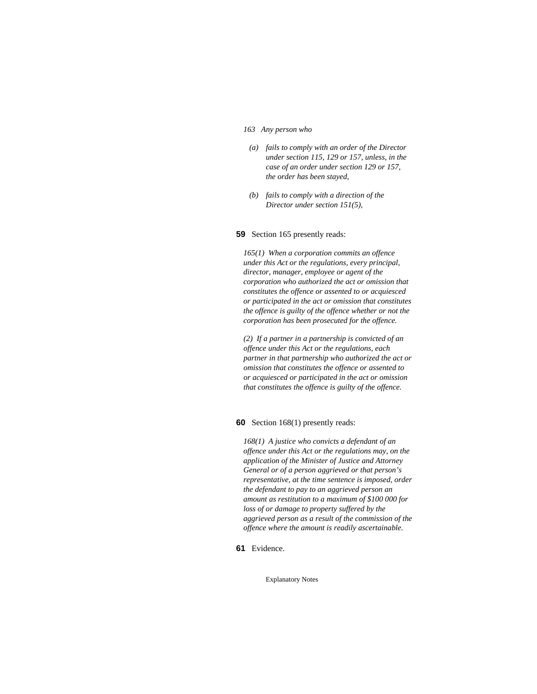#### *163 Any person who*

- *(a) fails to comply with an order of the Director under section 115, 129 or 157, unless, in the case of an order under section 129 or 157, the order has been stayed,*
- *(b) fails to comply with a direction of the Director under section 151(5),*

#### **59** Section 165 presently reads:

*165(1) When a corporation commits an offence under this Act or the regulations, every principal, director, manager, employee or agent of the corporation who authorized the act or omission that constitutes the offence or assented to or acquiesced or participated in the act or omission that constitutes the offence is guilty of the offence whether or not the corporation has been prosecuted for the offence.* 

*(2) If a partner in a partnership is convicted of an offence under this Act or the regulations, each partner in that partnership who authorized the act or omission that constitutes the offence or assented to or acquiesced or participated in the act or omission that constitutes the offence is guilty of the offence.* 

**60** Section 168(1) presently reads:

*168(1) A justice who convicts a defendant of an offence under this Act or the regulations may, on the application of the Minister of Justice and Attorney General or of a person aggrieved or that person's representative, at the time sentence is imposed, order the defendant to pay to an aggrieved person an amount as restitution to a maximum of \$100 000 for loss of or damage to property suffered by the aggrieved person as a result of the commission of the offence where the amount is readily ascertainable.* 

**61** Evidence.